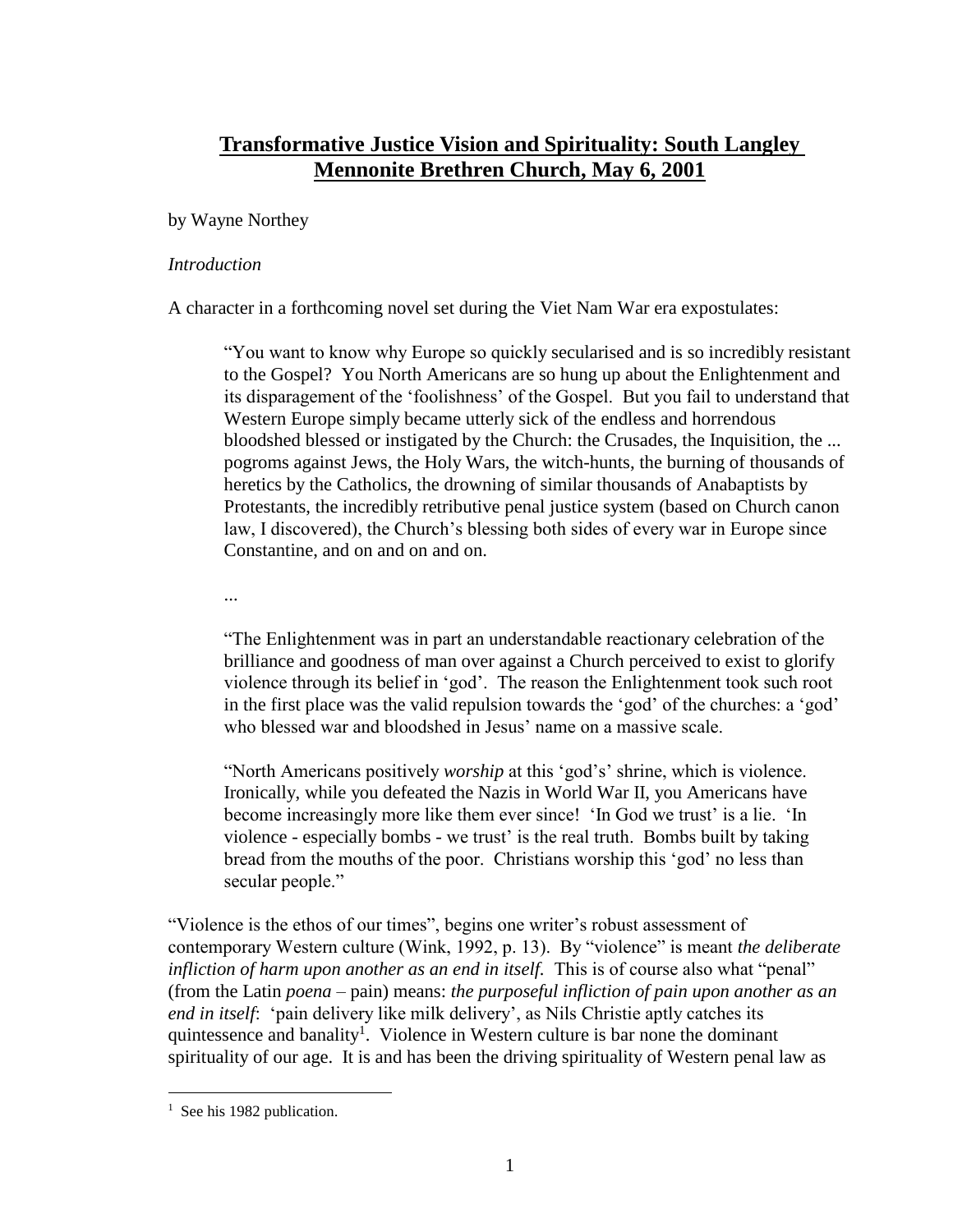# **Transformative Justice Vision and Spirituality: South Langley Mennonite Brethren Church, May 6, 2001**

by Wayne Northey

#### *Introduction*

A character in a forthcoming novel set during the Viet Nam War era expostulates:

"You want to know why Europe so quickly secularised and is so incredibly resistant to the Gospel? You North Americans are so hung up about the Enlightenment and its disparagement of the 'foolishness' of the Gospel. But you fail to understand that Western Europe simply became utterly sick of the endless and horrendous bloodshed blessed or instigated by the Church: the Crusades, the Inquisition, the ... pogroms against Jews, the Holy Wars, the witch-hunts, the burning of thousands of heretics by the Catholics, the drowning of similar thousands of Anabaptists by Protestants, the incredibly retributive penal justice system (based on Church canon law, I discovered), the Church's blessing both sides of every war in Europe since Constantine, and on and on and on.

...

"The Enlightenment was in part an understandable reactionary celebration of the brilliance and goodness of man over against a Church perceived to exist to glorify violence through its belief in 'god'. The reason the Enlightenment took such root in the first place was the valid repulsion towards the 'god' of the churches: a 'god' who blessed war and bloodshed in Jesus' name on a massive scale.

"North Americans positively *worship* at this 'god's' shrine, which is violence. Ironically, while you defeated the Nazis in World War II, you Americans have become increasingly more like them ever since! 'In God we trust' is a lie. 'In violence - especially bombs - we trust' is the real truth. Bombs built by taking bread from the mouths of the poor. Christians worship this 'god' no less than secular people."

"Violence is the ethos of our times", begins one writer's robust assessment of contemporary Western culture (Wink, 1992, p. 13). By "violence" is meant *the deliberate infliction of harm upon another as an end in itself.* This is of course also what "penal" (from the Latin *poena* – pain) means: *the purposeful infliction of pain upon another as an end in itself*: 'pain delivery like milk delivery', as Nils Christie aptly catches its quintessence and banality<sup>1</sup>. Violence in Western culture is bar none the dominant spirituality of our age. It is and has been the driving spirituality of Western penal law as

<sup>&</sup>lt;sup>1</sup> See his 1982 publication.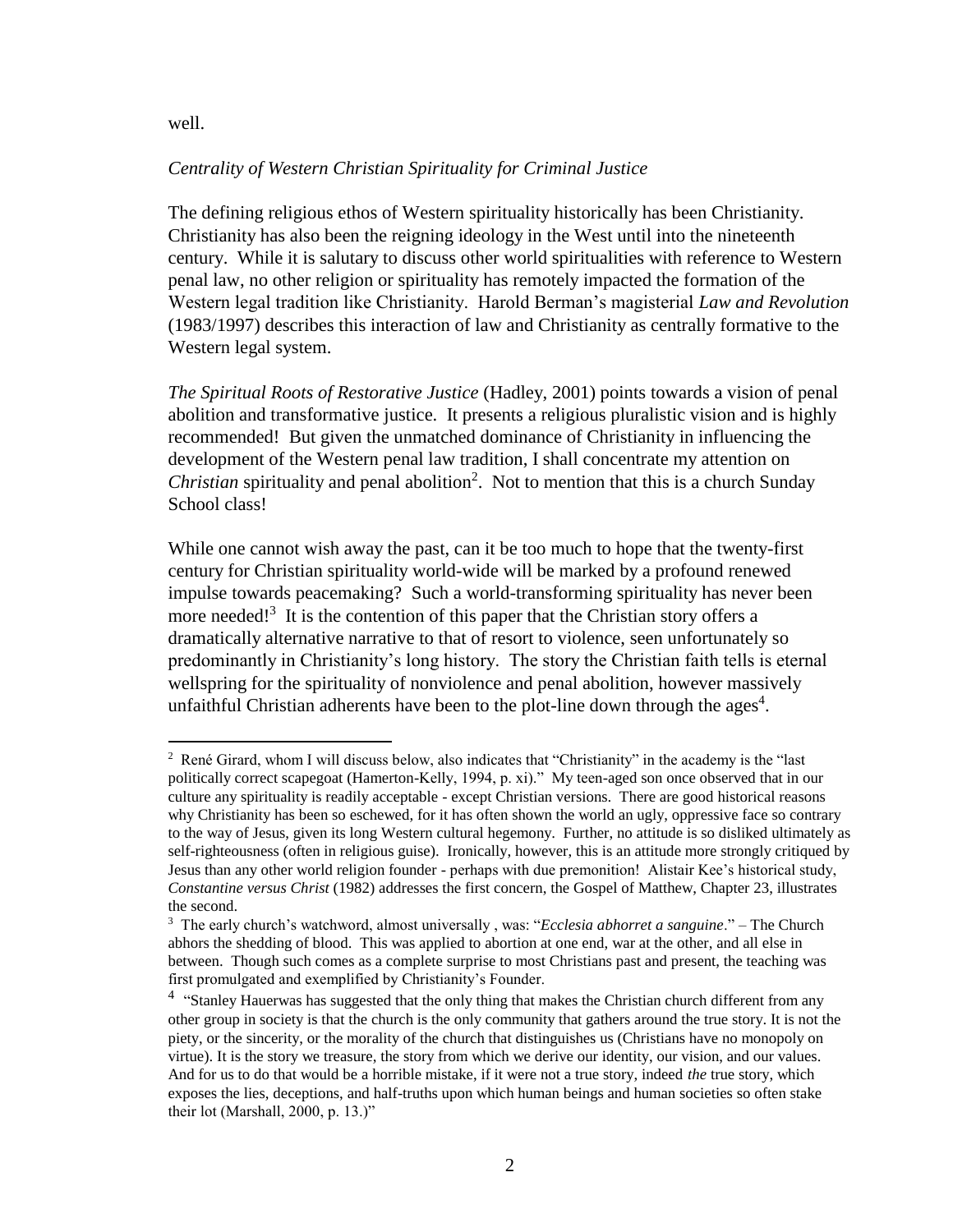well.

<u>.</u>

## *Centrality of Western Christian Spirituality for Criminal Justice*

The defining religious ethos of Western spirituality historically has been Christianity. Christianity has also been the reigning ideology in the West until into the nineteenth century. While it is salutary to discuss other world spiritualities with reference to Western penal law, no other religion or spirituality has remotely impacted the formation of the Western legal tradition like Christianity. Harold Berman's magisterial *Law and Revolution*  (1983/1997) describes this interaction of law and Christianity as centrally formative to the Western legal system.

*The Spiritual Roots of Restorative Justice* (Hadley, 2001) points towards a vision of penal abolition and transformative justice. It presents a religious pluralistic vision and is highly recommended! But given the unmatched dominance of Christianity in influencing the development of the Western penal law tradition, I shall concentrate my attention on *Christian* spirituality and penal abolition<sup>2</sup>. Not to mention that this is a church Sunday School class!

While one cannot wish away the past, can it be too much to hope that the twenty-first century for Christian spirituality world-wide will be marked by a profound renewed impulse towards peacemaking? Such a world-transforming spirituality has never been more needed!<sup>3</sup> It is the contention of this paper that the Christian story offers a dramatically alternative narrative to that of resort to violence, seen unfortunately so predominantly in Christianity's long history. The story the Christian faith tells is eternal wellspring for the spirituality of nonviolence and penal abolition, however massively unfaithful Christian adherents have been to the plot-line down through the ages<sup>4</sup>.

<sup>&</sup>lt;sup>2</sup> René Girard, whom I will discuss below, also indicates that "Christianity" in the academy is the "last politically correct scapegoat (Hamerton-Kelly, 1994, p. xi)." My teen-aged son once observed that in our culture any spirituality is readily acceptable - except Christian versions. There are good historical reasons why Christianity has been so eschewed, for it has often shown the world an ugly, oppressive face so contrary to the way of Jesus, given its long Western cultural hegemony. Further, no attitude is so disliked ultimately as self-righteousness (often in religious guise). Ironically, however, this is an attitude more strongly critiqued by Jesus than any other world religion founder - perhaps with due premonition! Alistair Kee's historical study, *Constantine versus Christ* (1982) addresses the first concern, the Gospel of Matthew, Chapter 23, illustrates the second.

<sup>3</sup> The early church's watchword, almost universally , was: "*Ecclesia abhorret a sanguine*." – The Church abhors the shedding of blood. This was applied to abortion at one end, war at the other, and all else in between. Though such comes as a complete surprise to most Christians past and present, the teaching was first promulgated and exemplified by Christianity's Founder.

<sup>&</sup>lt;sup>4</sup> "Stanley Hauerwas has suggested that the only thing that makes the Christian church different from any other group in society is that the church is the only community that gathers around the true story. It is not the piety, or the sincerity, or the morality of the church that distinguishes us (Christians have no monopoly on virtue). It is the story we treasure, the story from which we derive our identity, our vision, and our values. And for us to do that would be a horrible mistake, if it were not a true story, indeed *the* true story, which exposes the lies, deceptions, and half-truths upon which human beings and human societies so often stake their lot (Marshall, 2000, p. 13.)"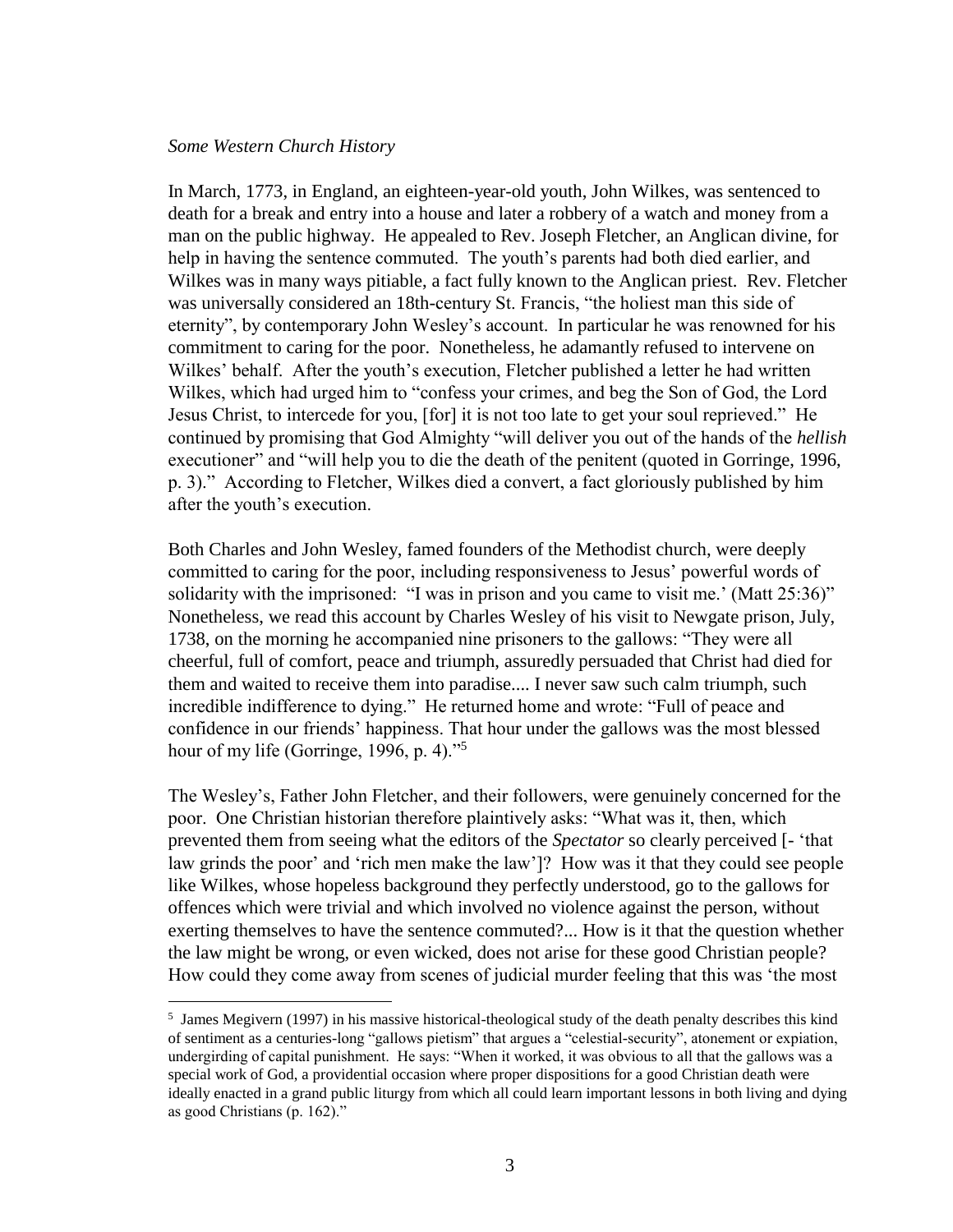#### *Some Western Church History*

1

In March, 1773, in England, an eighteen-year-old youth, John Wilkes, was sentenced to death for a break and entry into a house and later a robbery of a watch and money from a man on the public highway. He appealed to Rev. Joseph Fletcher, an Anglican divine, for help in having the sentence commuted. The youth's parents had both died earlier, and Wilkes was in many ways pitiable, a fact fully known to the Anglican priest. Rev. Fletcher was universally considered an 18th-century St. Francis, "the holiest man this side of eternity", by contemporary John Wesley's account. In particular he was renowned for his commitment to caring for the poor. Nonetheless, he adamantly refused to intervene on Wilkes' behalf. After the youth's execution, Fletcher published a letter he had written Wilkes, which had urged him to "confess your crimes, and beg the Son of God, the Lord Jesus Christ, to intercede for you, [for] it is not too late to get your soul reprieved." He continued by promising that God Almighty "will deliver you out of the hands of the *hellish*  executioner" and "will help you to die the death of the penitent (quoted in Gorringe, 1996, p. 3)." According to Fletcher, Wilkes died a convert, a fact gloriously published by him after the youth's execution.

Both Charles and John Wesley, famed founders of the Methodist church, were deeply committed to caring for the poor, including responsiveness to Jesus' powerful words of solidarity with the imprisoned: "I was in prison and you came to visit me.' (Matt 25:36)" Nonetheless, we read this account by Charles Wesley of his visit to Newgate prison, July, 1738, on the morning he accompanied nine prisoners to the gallows: "They were all cheerful, full of comfort, peace and triumph, assuredly persuaded that Christ had died for them and waited to receive them into paradise.... I never saw such calm triumph, such incredible indifference to dying." He returned home and wrote: "Full of peace and confidence in our friends' happiness. That hour under the gallows was the most blessed hour of my life (Gorringe, 1996, p. 4).<sup>55</sup>

The Wesley's, Father John Fletcher, and their followers, were genuinely concerned for the poor. One Christian historian therefore plaintively asks: "What was it, then, which prevented them from seeing what the editors of the *Spectator* so clearly perceived [- 'that law grinds the poor' and 'rich men make the law']? How was it that they could see people like Wilkes, whose hopeless background they perfectly understood, go to the gallows for offences which were trivial and which involved no violence against the person, without exerting themselves to have the sentence commuted?... How is it that the question whether the law might be wrong, or even wicked, does not arise for these good Christian people? How could they come away from scenes of judicial murder feeling that this was 'the most

<sup>&</sup>lt;sup>5</sup> James Megivern (1997) in his massive historical-theological study of the death penalty describes this kind of sentiment as a centuries-long "gallows pietism" that argues a "celestial-security", atonement or expiation, undergirding of capital punishment. He says: "When it worked, it was obvious to all that the gallows was a special work of God, a providential occasion where proper dispositions for a good Christian death were ideally enacted in a grand public liturgy from which all could learn important lessons in both living and dying as good Christians (p. 162)."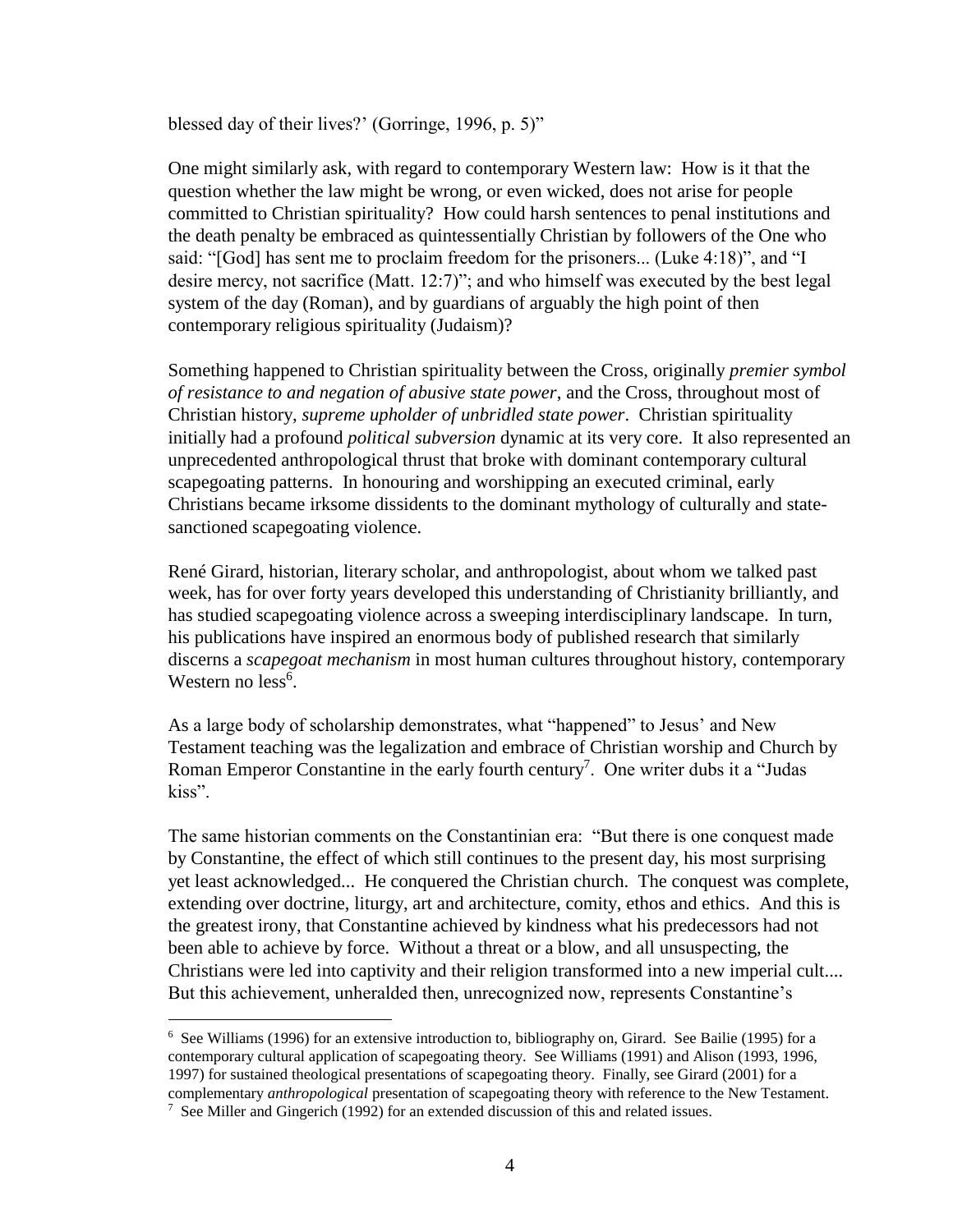blessed day of their lives?' (Gorringe, 1996, p. 5)"

One might similarly ask, with regard to contemporary Western law: How is it that the question whether the law might be wrong, or even wicked, does not arise for people committed to Christian spirituality? How could harsh sentences to penal institutions and the death penalty be embraced as quintessentially Christian by followers of the One who said: "[God] has sent me to proclaim freedom for the prisoners... (Luke 4:18)", and "I desire mercy, not sacrifice (Matt. 12:7)"; and who himself was executed by the best legal system of the day (Roman), and by guardians of arguably the high point of then contemporary religious spirituality (Judaism)?

Something happened to Christian spirituality between the Cross, originally *premier symbol of resistance to and negation of abusive state power*, and the Cross, throughout most of Christian history, *supreme upholder of unbridled state power*. Christian spirituality initially had a profound *political subversion* dynamic at its very core. It also represented an unprecedented anthropological thrust that broke with dominant contemporary cultural scapegoating patterns. In honouring and worshipping an executed criminal, early Christians became irksome dissidents to the dominant mythology of culturally and statesanctioned scapegoating violence.

René Girard, historian, literary scholar, and anthropologist, about whom we talked past week, has for over forty years developed this understanding of Christianity brilliantly, and has studied scapegoating violence across a sweeping interdisciplinary landscape. In turn, his publications have inspired an enormous body of published research that similarly discerns a *scapegoat mechanism* in most human cultures throughout history, contemporary Western no less<sup>6</sup>.

As a large body of scholarship demonstrates, what "happened" to Jesus' and New Testament teaching was the legalization and embrace of Christian worship and Church by Roman Emperor Constantine in the early fourth century<sup>7</sup>. One writer dubs it a "Judas" kiss".

The same historian comments on the Constantinian era: "But there is one conquest made by Constantine, the effect of which still continues to the present day, his most surprising yet least acknowledged... He conquered the Christian church. The conquest was complete, extending over doctrine, liturgy, art and architecture, comity, ethos and ethics. And this is the greatest irony, that Constantine achieved by kindness what his predecessors had not been able to achieve by force. Without a threat or a blow, and all unsuspecting, the Christians were led into captivity and their religion transformed into a new imperial cult.... But this achievement, unheralded then, unrecognized now, represents Constantine's

<u>.</u>

<sup>6</sup> See Williams (1996) for an extensive introduction to, bibliography on, Girard. See Bailie (1995) for a contemporary cultural application of scapegoating theory. See Williams (1991) and Alison (1993, 1996, 1997) for sustained theological presentations of scapegoating theory. Finally, see Girard (2001) for a complementary *anthropological* presentation of scapegoating theory with reference to the New Testament.

<sup>&</sup>lt;sup>7</sup> See Miller and Gingerich (1992) for an extended discussion of this and related issues.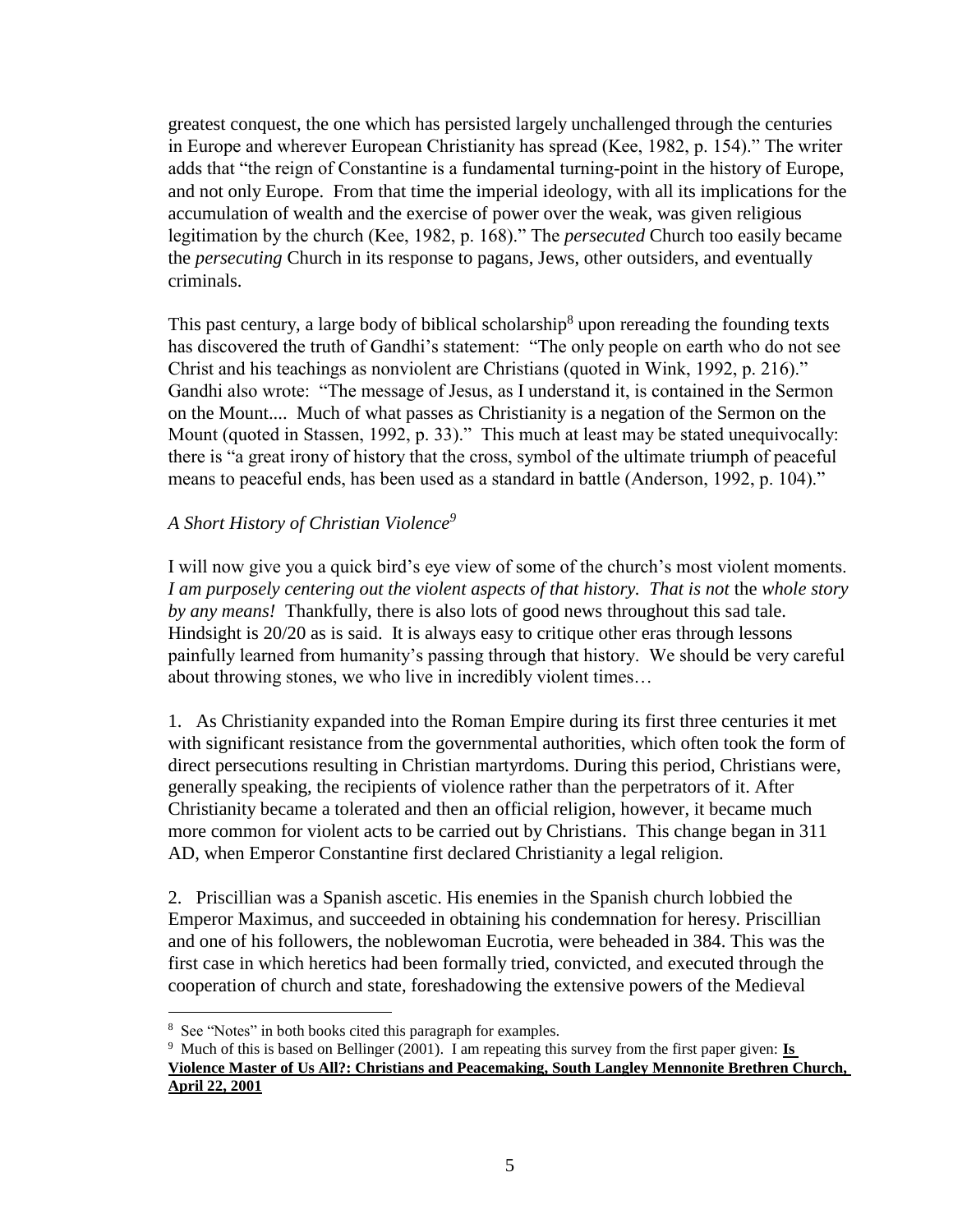greatest conquest, the one which has persisted largely unchallenged through the centuries in Europe and wherever European Christianity has spread (Kee, 1982, p. 154)." The writer adds that "the reign of Constantine is a fundamental turning-point in the history of Europe, and not only Europe. From that time the imperial ideology, with all its implications for the accumulation of wealth and the exercise of power over the weak, was given religious legitimation by the church (Kee, 1982, p. 168)." The *persecuted* Church too easily became the *persecuting* Church in its response to pagans, Jews, other outsiders, and eventually criminals.

This past century, a large body of biblical scholarship<sup>8</sup> upon rereading the founding texts has discovered the truth of Gandhi's statement: "The only people on earth who do not see Christ and his teachings as nonviolent are Christians (quoted in Wink, 1992, p. 216)." Gandhi also wrote: "The message of Jesus, as I understand it, is contained in the Sermon on the Mount.... Much of what passes as Christianity is a negation of the Sermon on the Mount (quoted in Stassen, 1992, p. 33)." This much at least may be stated unequivocally: there is "a great irony of history that the cross, symbol of the ultimate triumph of peaceful means to peaceful ends, has been used as a standard in battle (Anderson, 1992, p. 104)."

## *A Short History of Christian Violence<sup>9</sup>*

I will now give you a quick bird's eye view of some of the church's most violent moments. *I am purposely centering out the violent aspects of that history. That is not* the *whole story by any means!* Thankfully, there is also lots of good news throughout this sad tale. Hindsight is 20/20 as is said. It is always easy to critique other eras through lessons painfully learned from humanity's passing through that history. We should be very careful about throwing stones, we who live in incredibly violent times…

1. As Christianity expanded into the Roman Empire during its first three centuries it met with significant resistance from the governmental authorities, which often took the form of direct persecutions resulting in Christian martyrdoms. During this period, Christians were, generally speaking, the recipients of violence rather than the perpetrators of it. After Christianity became a tolerated and then an official religion, however, it became much more common for violent acts to be carried out by Christians. This change began in 311 AD, when Emperor Constantine first declared Christianity a legal religion.

2. Priscillian was a Spanish ascetic. His enemies in the Spanish church lobbied the Emperor Maximus, and succeeded in obtaining his condemnation for heresy. Priscillian and one of his followers, the noblewoman Eucrotia, were beheaded in 384. This was the first case in which heretics had been formally tried, convicted, and executed through the cooperation of church and state, foreshadowing the extensive powers of the Medieval

<sup>&</sup>lt;sup>8</sup> See "Notes" in both books cited this paragraph for examples.

<sup>9</sup> Much of this is based on Bellinger (2001). I am repeating this survey from the first paper given: **Is Violence Master of Us All?: Christians and Peacemaking, South Langley Mennonite Brethren Church, April 22, 2001**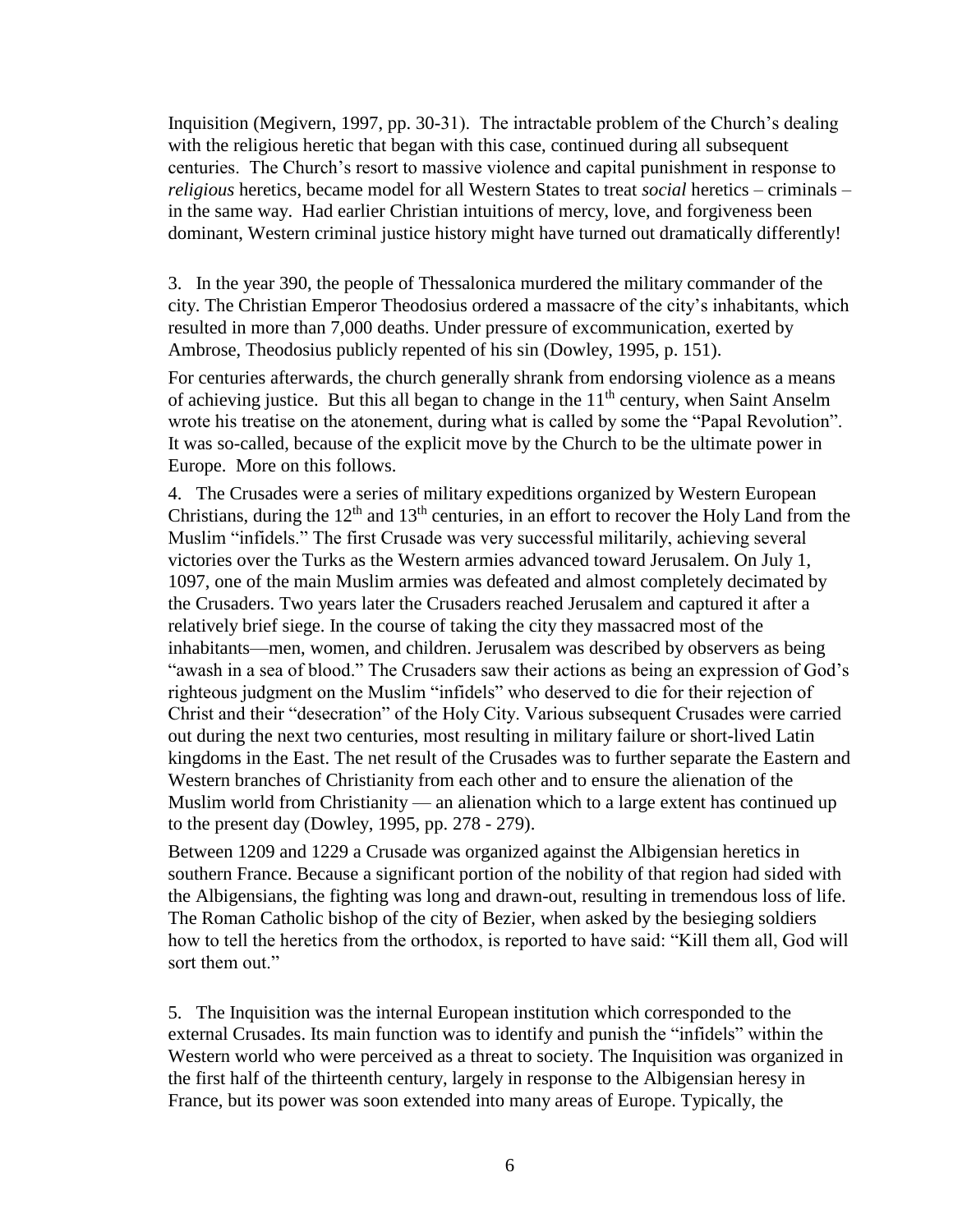Inquisition (Megivern, 1997, pp. 30-31). The intractable problem of the Church's dealing with the religious heretic that began with this case, continued during all subsequent centuries. The Church's resort to massive violence and capital punishment in response to *religious* heretics, became model for all Western States to treat *social* heretics – criminals – in the same way. Had earlier Christian intuitions of mercy, love, and forgiveness been dominant, Western criminal justice history might have turned out dramatically differently!

3. In the year 390, the people of Thessalonica murdered the military commander of the city. The Christian Emperor Theodosius ordered a massacre of the city's inhabitants, which resulted in more than 7,000 deaths. Under pressure of excommunication, exerted by Ambrose, Theodosius publicly repented of his sin (Dowley, 1995, p. 151).

For centuries afterwards, the church generally shrank from endorsing violence as a means of achieving justice. But this all began to change in the  $11<sup>th</sup>$  century, when Saint Anselm wrote his treatise on the atonement, during what is called by some the "Papal Revolution". It was so-called, because of the explicit move by the Church to be the ultimate power in Europe. More on this follows.

4. The Crusades were a series of military expeditions organized by Western European Christians, during the  $12<sup>th</sup>$  and  $13<sup>th</sup>$  centuries, in an effort to recover the Holy Land from the Muslim "infidels." The first Crusade was very successful militarily, achieving several victories over the Turks as the Western armies advanced toward Jerusalem. On July 1, 1097, one of the main Muslim armies was defeated and almost completely decimated by the Crusaders. Two years later the Crusaders reached Jerusalem and captured it after a relatively brief siege. In the course of taking the city they massacred most of the inhabitants—men, women, and children. Jerusalem was described by observers as being "awash in a sea of blood." The Crusaders saw their actions as being an expression of God's righteous judgment on the Muslim "infidels" who deserved to die for their rejection of Christ and their "desecration" of the Holy City. Various subsequent Crusades were carried out during the next two centuries, most resulting in military failure or short-lived Latin kingdoms in the East. The net result of the Crusades was to further separate the Eastern and Western branches of Christianity from each other and to ensure the alienation of the Muslim world from Christianity — an alienation which to a large extent has continued up to the present day (Dowley, 1995, pp. 278 - 279).

Between 1209 and 1229 a Crusade was organized against the Albigensian heretics in southern France. Because a significant portion of the nobility of that region had sided with the Albigensians, the fighting was long and drawn-out, resulting in tremendous loss of life. The Roman Catholic bishop of the city of Bezier, when asked by the besieging soldiers how to tell the heretics from the orthodox, is reported to have said: "Kill them all, God will sort them out."

5. The Inquisition was the internal European institution which corresponded to the external Crusades. Its main function was to identify and punish the "infidels" within the Western world who were perceived as a threat to society. The Inquisition was organized in the first half of the thirteenth century, largely in response to the Albigensian heresy in France, but its power was soon extended into many areas of Europe. Typically, the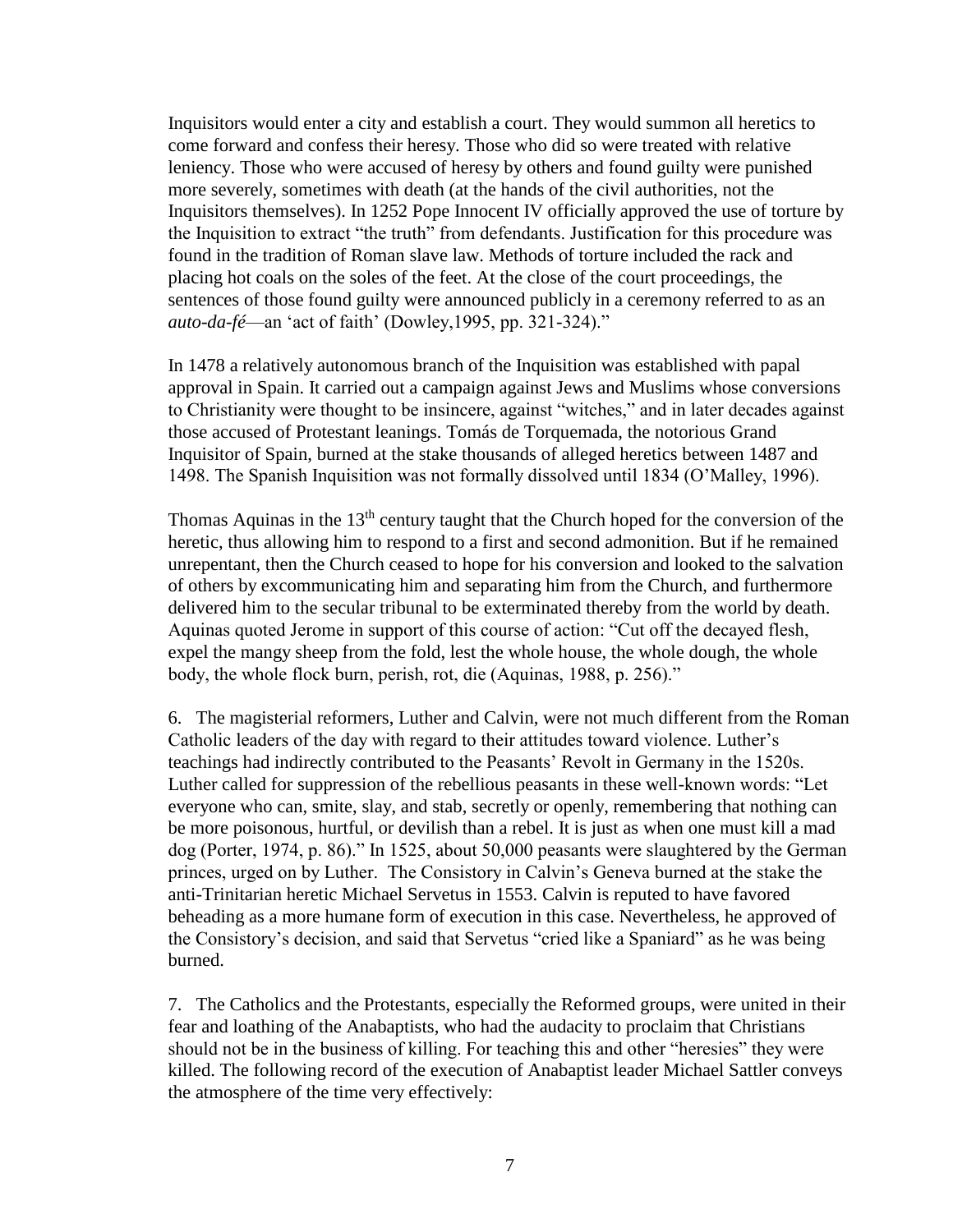Inquisitors would enter a city and establish a court. They would summon all heretics to come forward and confess their heresy. Those who did so were treated with relative leniency. Those who were accused of heresy by others and found guilty were punished more severely, sometimes with death (at the hands of the civil authorities, not the Inquisitors themselves). In 1252 Pope Innocent IV officially approved the use of torture by the Inquisition to extract "the truth" from defendants. Justification for this procedure was found in the tradition of Roman slave law. Methods of torture included the rack and placing hot coals on the soles of the feet. At the close of the court proceedings, the sentences of those found guilty were announced publicly in a ceremony referred to as an *auto-da-fé*—an 'act of faith' (Dowley,1995, pp. 321-324)."

In 1478 a relatively autonomous branch of the Inquisition was established with papal approval in Spain. It carried out a campaign against Jews and Muslims whose conversions to Christianity were thought to be insincere, against "witches," and in later decades against those accused of Protestant leanings. Tomás de Torquemada, the notorious Grand Inquisitor of Spain, burned at the stake thousands of alleged heretics between 1487 and 1498. The Spanish Inquisition was not formally dissolved until 1834 (O'Malley, 1996).

Thomas Aquinas in the  $13<sup>th</sup>$  century taught that the Church hoped for the conversion of the heretic, thus allowing him to respond to a first and second admonition. But if he remained unrepentant, then the Church ceased to hope for his conversion and looked to the salvation of others by excommunicating him and separating him from the Church, and furthermore delivered him to the secular tribunal to be exterminated thereby from the world by death. Aquinas quoted Jerome in support of this course of action: "Cut off the decayed flesh, expel the mangy sheep from the fold, lest the whole house, the whole dough, the whole body, the whole flock burn, perish, rot, die (Aquinas, 1988, p. 256)."

6. The magisterial reformers, Luther and Calvin, were not much different from the Roman Catholic leaders of the day with regard to their attitudes toward violence. Luther's teachings had indirectly contributed to the Peasants' Revolt in Germany in the 1520s. Luther called for suppression of the rebellious peasants in these well-known words: "Let everyone who can, smite, slay, and stab, secretly or openly, remembering that nothing can be more poisonous, hurtful, or devilish than a rebel. It is just as when one must kill a mad dog (Porter, 1974, p. 86)." In 1525, about 50,000 peasants were slaughtered by the German princes, urged on by Luther. The Consistory in Calvin's Geneva burned at the stake the anti-Trinitarian heretic Michael Servetus in 1553. Calvin is reputed to have favored beheading as a more humane form of execution in this case. Nevertheless, he approved of the Consistory's decision, and said that Servetus "cried like a Spaniard" as he was being burned.

7. The Catholics and the Protestants, especially the Reformed groups, were united in their fear and loathing of the Anabaptists, who had the audacity to proclaim that Christians should not be in the business of killing. For teaching this and other "heresies" they were killed. The following record of the execution of Anabaptist leader Michael Sattler conveys the atmosphere of the time very effectively: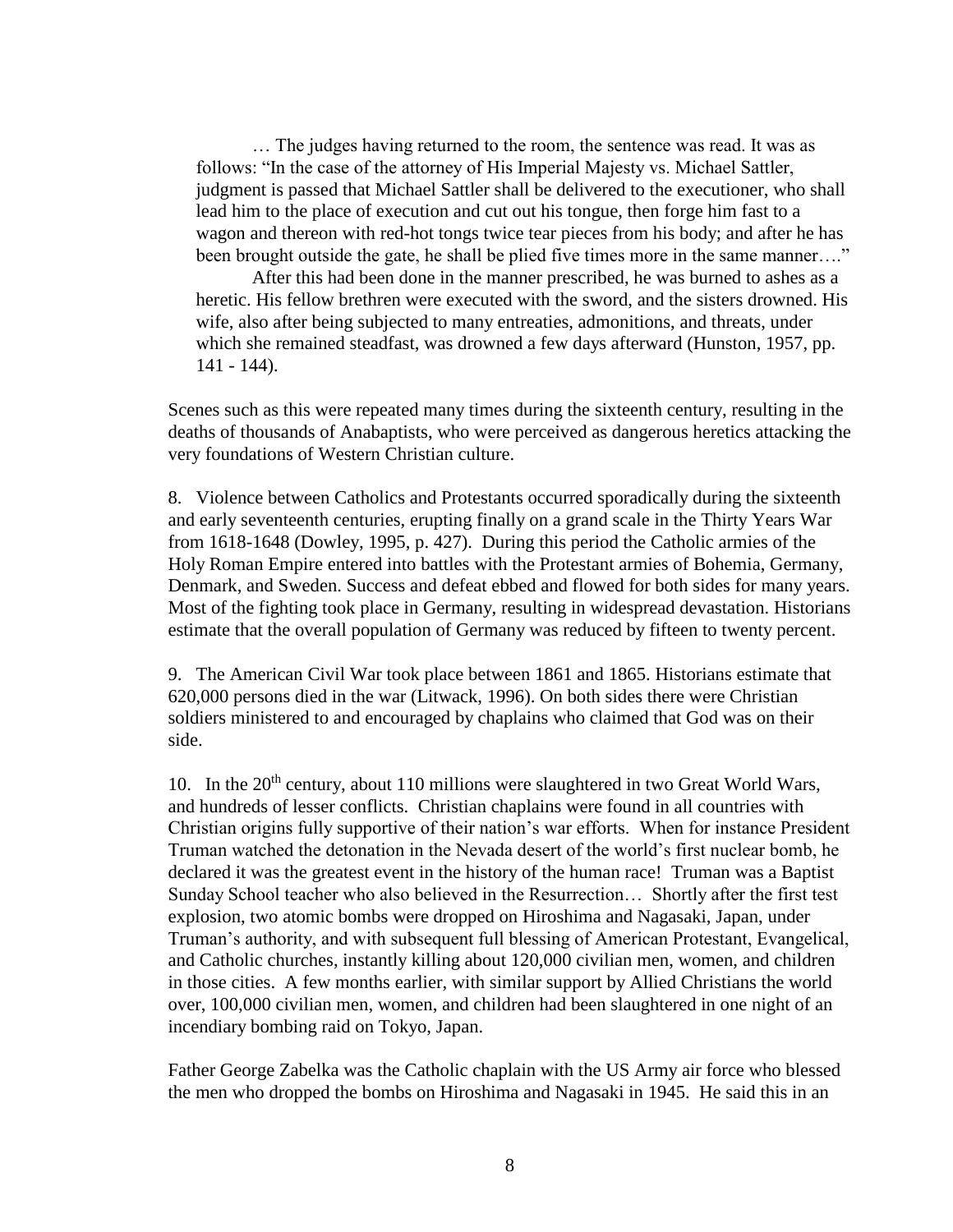… The judges having returned to the room, the sentence was read. It was as follows: "In the case of the attorney of His Imperial Majesty vs. Michael Sattler, judgment is passed that Michael Sattler shall be delivered to the executioner, who shall lead him to the place of execution and cut out his tongue, then forge him fast to a wagon and thereon with red-hot tongs twice tear pieces from his body; and after he has been brought outside the gate, he shall be plied five times more in the same manner…."

After this had been done in the manner prescribed, he was burned to ashes as a heretic. His fellow brethren were executed with the sword, and the sisters drowned. His wife, also after being subjected to many entreaties, admonitions, and threats, under which she remained steadfast, was drowned a few days afterward (Hunston, 1957, pp. 141 - 144).

Scenes such as this were repeated many times during the sixteenth century, resulting in the deaths of thousands of Anabaptists, who were perceived as dangerous heretics attacking the very foundations of Western Christian culture.

8. Violence between Catholics and Protestants occurred sporadically during the sixteenth and early seventeenth centuries, erupting finally on a grand scale in the Thirty Years War from 1618-1648 (Dowley, 1995, p. 427). During this period the Catholic armies of the Holy Roman Empire entered into battles with the Protestant armies of Bohemia, Germany, Denmark, and Sweden. Success and defeat ebbed and flowed for both sides for many years. Most of the fighting took place in Germany, resulting in widespread devastation. Historians estimate that the overall population of Germany was reduced by fifteen to twenty percent.

9. The American Civil War took place between 1861 and 1865. Historians estimate that 620,000 persons died in the war (Litwack, 1996). On both sides there were Christian soldiers ministered to and encouraged by chaplains who claimed that God was on their side.

10. In the  $20<sup>th</sup>$  century, about 110 millions were slaughtered in two Great World Wars, and hundreds of lesser conflicts. Christian chaplains were found in all countries with Christian origins fully supportive of their nation's war efforts. When for instance President Truman watched the detonation in the Nevada desert of the world's first nuclear bomb, he declared it was the greatest event in the history of the human race! Truman was a Baptist Sunday School teacher who also believed in the Resurrection… Shortly after the first test explosion, two atomic bombs were dropped on Hiroshima and Nagasaki, Japan, under Truman's authority, and with subsequent full blessing of American Protestant, Evangelical, and Catholic churches, instantly killing about 120,000 civilian men, women, and children in those cities. A few months earlier, with similar support by Allied Christians the world over, 100,000 civilian men, women, and children had been slaughtered in one night of an incendiary bombing raid on Tokyo, Japan.

Father George Zabelka was the Catholic chaplain with the US Army air force who blessed the men who dropped the bombs on Hiroshima and Nagasaki in 1945. He said this in an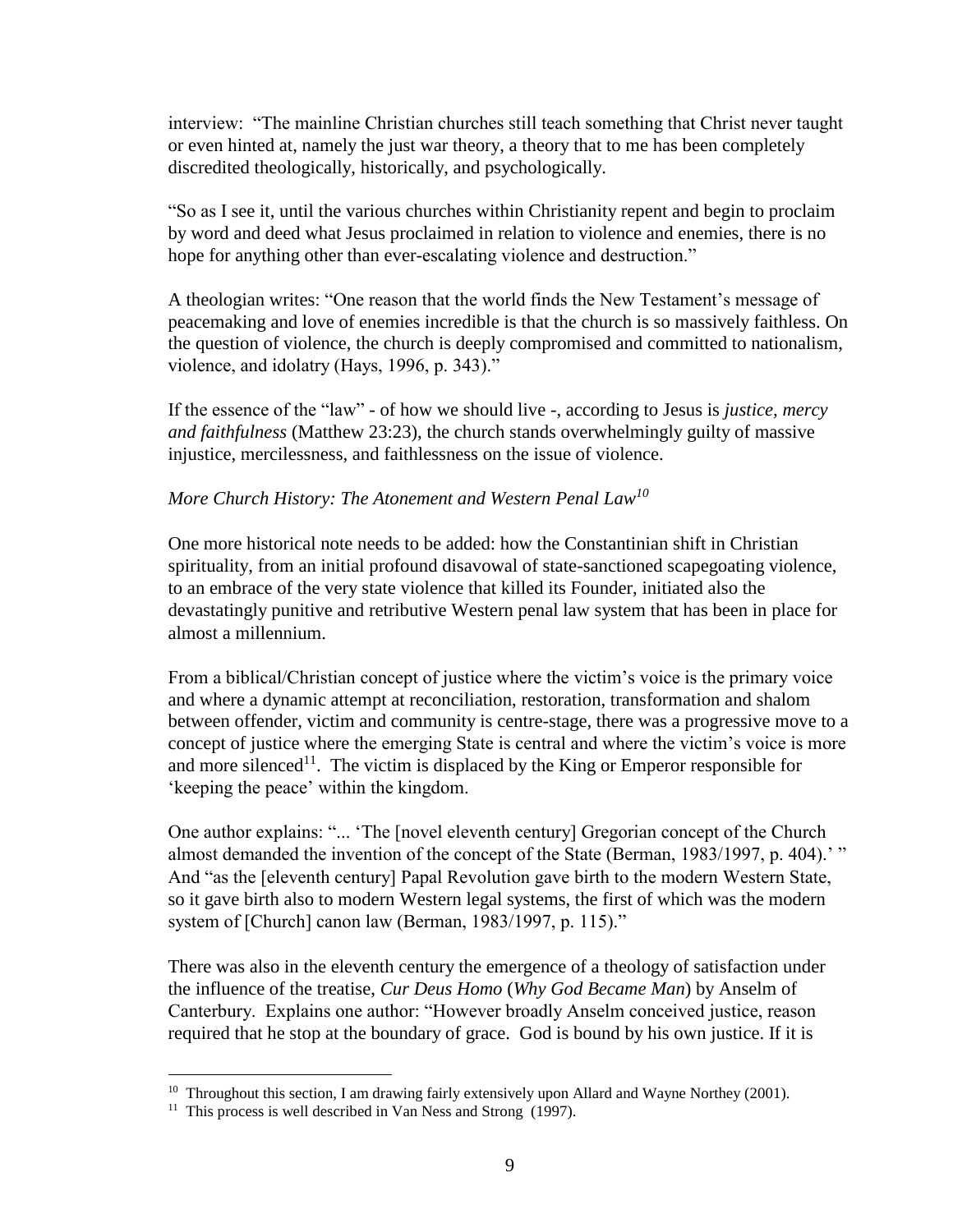interview: "The mainline Christian churches still teach something that Christ never taught or even hinted at, namely the just war theory, a theory that to me has been completely discredited theologically, historically, and psychologically.

"So as I see it, until the various churches within Christianity repent and begin to proclaim by word and deed what Jesus proclaimed in relation to violence and enemies, there is no hope for anything other than ever-escalating violence and destruction."

A theologian writes: "One reason that the world finds the New Testament's message of peacemaking and love of enemies incredible is that the church is so massively faithless. On the question of violence, the church is deeply compromised and committed to nationalism, violence, and idolatry (Hays, 1996, p. 343)."

If the essence of the "law" - of how we should live -, according to Jesus is *justice, mercy and faithfulness* (Matthew 23:23), the church stands overwhelmingly guilty of massive injustice, mercilessness, and faithlessness on the issue of violence.

### *More Church History: The Atonement and Western Penal Law<sup>10</sup>*

One more historical note needs to be added: how the Constantinian shift in Christian spirituality, from an initial profound disavowal of state-sanctioned scapegoating violence, to an embrace of the very state violence that killed its Founder, initiated also the devastatingly punitive and retributive Western penal law system that has been in place for almost a millennium.

From a biblical/Christian concept of justice where the victim's voice is the primary voice and where a dynamic attempt at reconciliation, restoration, transformation and shalom between offender, victim and community is centre-stage, there was a progressive move to a concept of justice where the emerging State is central and where the victim's voice is more and more silenced<sup>11</sup>. The victim is displaced by the King or Emperor responsible for 'keeping the peace' within the kingdom.

One author explains: "... 'The [novel eleventh century] Gregorian concept of the Church almost demanded the invention of the concept of the State (Berman, 1983/1997, p. 404).' " And "as the [eleventh century] Papal Revolution gave birth to the modern Western State, so it gave birth also to modern Western legal systems, the first of which was the modern system of [Church] canon law (Berman, 1983/1997, p. 115)."

There was also in the eleventh century the emergence of a theology of satisfaction under the influence of the treatise, *Cur Deus Homo* (*Why God Became Man*) by Anselm of Canterbury. Explains one author: "However broadly Anselm conceived justice, reason required that he stop at the boundary of grace. God is bound by his own justice. If it is

<u>.</u>

<sup>&</sup>lt;sup>10</sup> Throughout this section, I am drawing fairly extensively upon Allard and Wayne Northey (2001).

<sup>&</sup>lt;sup>11</sup> This process is well described in Van Ness and Strong (1997).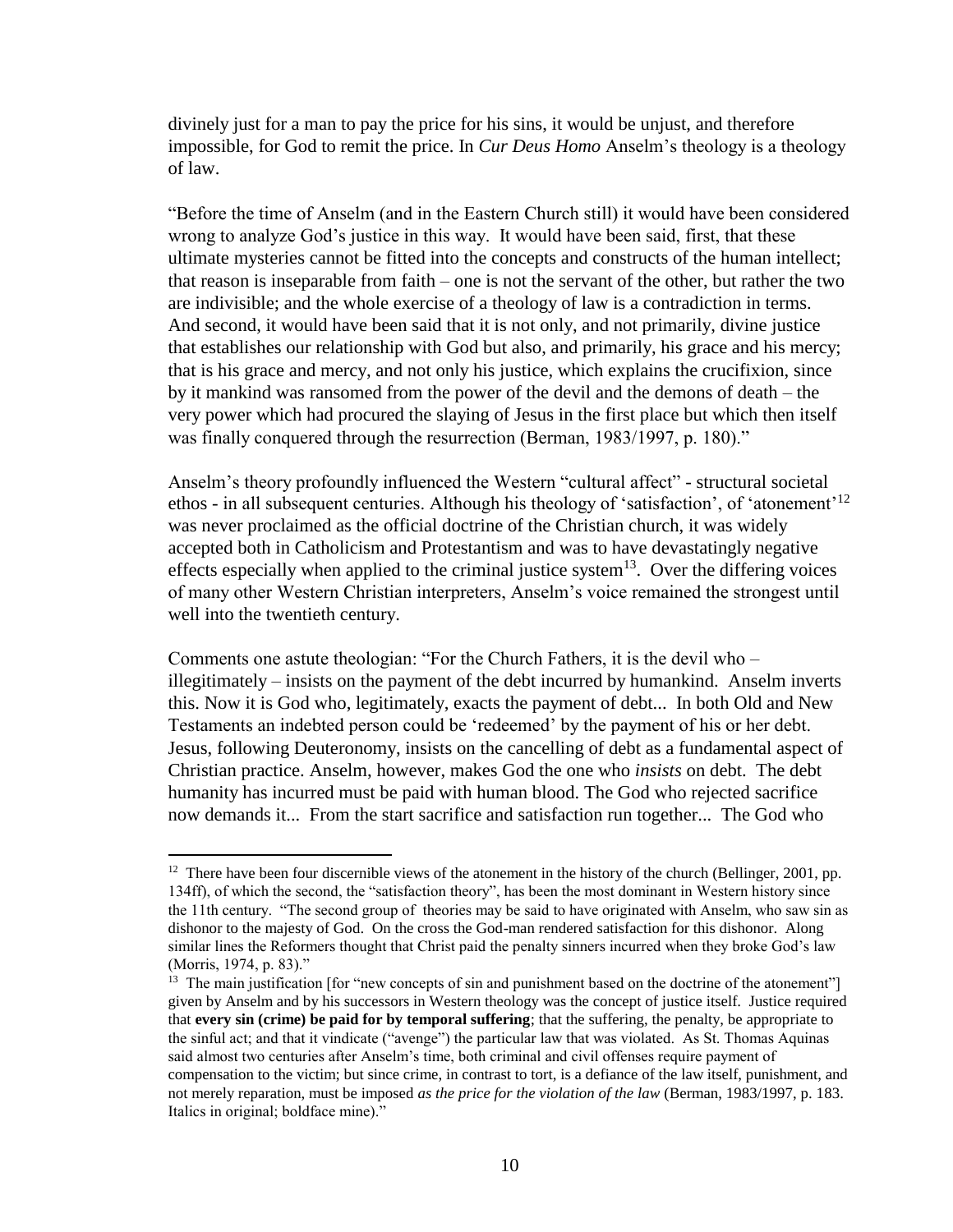divinely just for a man to pay the price for his sins, it would be unjust, and therefore impossible, for God to remit the price. In *Cur Deus Homo* Anselm's theology is a theology of law.

"Before the time of Anselm (and in the Eastern Church still) it would have been considered wrong to analyze God's justice in this way. It would have been said, first, that these ultimate mysteries cannot be fitted into the concepts and constructs of the human intellect; that reason is inseparable from faith – one is not the servant of the other, but rather the two are indivisible; and the whole exercise of a theology of law is a contradiction in terms. And second, it would have been said that it is not only, and not primarily, divine justice that establishes our relationship with God but also, and primarily, his grace and his mercy; that is his grace and mercy, and not only his justice, which explains the crucifixion, since by it mankind was ransomed from the power of the devil and the demons of death – the very power which had procured the slaying of Jesus in the first place but which then itself was finally conquered through the resurrection (Berman, 1983/1997, p. 180)."

Anselm's theory profoundly influenced the Western "cultural affect" - structural societal ethos - in all subsequent centuries. Although his theology of 'satisfaction', of 'atonement'<sup>12</sup> was never proclaimed as the official doctrine of the Christian church, it was widely accepted both in Catholicism and Protestantism and was to have devastatingly negative effects especially when applied to the criminal justice system<sup>13</sup>. Over the differing voices of many other Western Christian interpreters, Anselm's voice remained the strongest until well into the twentieth century.

Comments one astute theologian: "For the Church Fathers, it is the devil who – illegitimately – insists on the payment of the debt incurred by humankind. Anselm inverts this. Now it is God who, legitimately, exacts the payment of debt... In both Old and New Testaments an indebted person could be 'redeemed' by the payment of his or her debt. Jesus, following Deuteronomy, insists on the cancelling of debt as a fundamental aspect of Christian practice. Anselm, however, makes God the one who *insists* on debt. The debt humanity has incurred must be paid with human blood. The God who rejected sacrifice now demands it... From the start sacrifice and satisfaction run together... The God who

<u>.</u>

<sup>&</sup>lt;sup>12</sup> There have been four discernible views of the atonement in the history of the church (Bellinger, 2001, pp. 134ff), of which the second, the "satisfaction theory", has been the most dominant in Western history since the 11th century. "The second group of theories may be said to have originated with Anselm, who saw sin as dishonor to the majesty of God. On the cross the God-man rendered satisfaction for this dishonor. Along similar lines the Reformers thought that Christ paid the penalty sinners incurred when they broke God's law (Morris, 1974, p. 83)."

<sup>&</sup>lt;sup>13</sup> The main justification [for "new concepts of sin and punishment based on the doctrine of the atonement"] given by Anselm and by his successors in Western theology was the concept of justice itself. Justice required that **every sin (crime) be paid for by temporal suffering**; that the suffering, the penalty, be appropriate to the sinful act; and that it vindicate ("avenge") the particular law that was violated. As St. Thomas Aquinas said almost two centuries after Anselm's time, both criminal and civil offenses require payment of compensation to the victim; but since crime, in contrast to tort, is a defiance of the law itself, punishment, and not merely reparation, must be imposed *as the price for the violation of the law* (Berman, 1983/1997, p. 183. Italics in original; boldface mine)."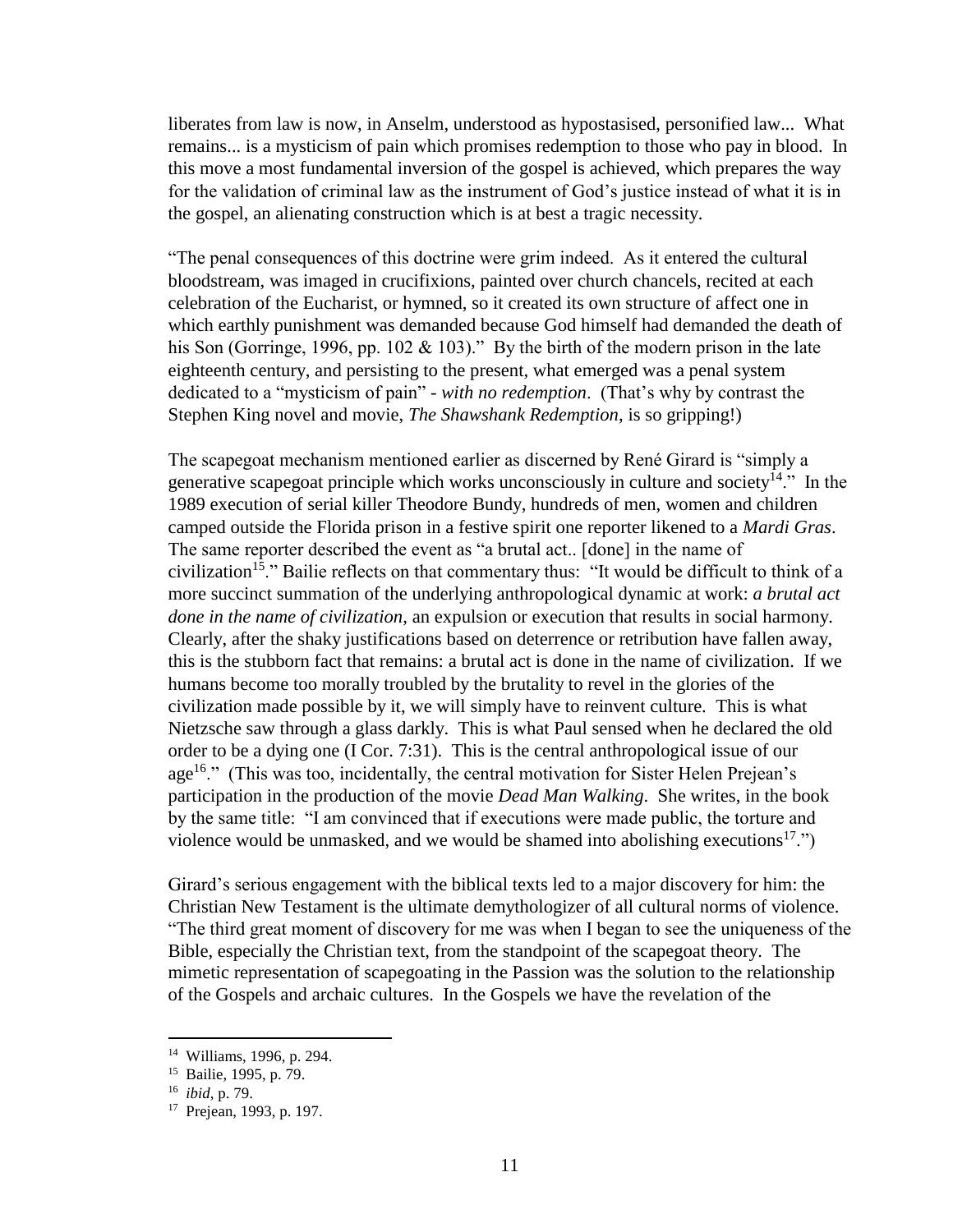liberates from law is now, in Anselm, understood as hypostasised, personified law... What remains... is a mysticism of pain which promises redemption to those who pay in blood. In this move a most fundamental inversion of the gospel is achieved, which prepares the way for the validation of criminal law as the instrument of God's justice instead of what it is in the gospel, an alienating construction which is at best a tragic necessity.

"The penal consequences of this doctrine were grim indeed. As it entered the cultural bloodstream, was imaged in crucifixions, painted over church chancels, recited at each celebration of the Eucharist, or hymned, so it created its own structure of affect one in which earthly punishment was demanded because God himself had demanded the death of his Son (Gorringe, 1996, pp. 102 & 103)." By the birth of the modern prison in the late eighteenth century, and persisting to the present, what emerged was a penal system dedicated to a "mysticism of pain" - *with no redemption*. (That's why by contrast the Stephen King novel and movie, *The Shawshank Redemption*, is so gripping!)

The scapegoat mechanism mentioned earlier as discerned by René Girard is "simply a generative scapegoat principle which works unconsciously in culture and society<sup>14</sup>." In the 1989 execution of serial killer Theodore Bundy, hundreds of men, women and children camped outside the Florida prison in a festive spirit one reporter likened to a *Mardi Gras*. The same reporter described the event as "a brutal act.. [done] in the name of civilization<sup>15</sup>." Bailie reflects on that commentary thus: "It would be difficult to think of a more succinct summation of the underlying anthropological dynamic at work: *a brutal act done in the name of civilization*, an expulsion or execution that results in social harmony. Clearly, after the shaky justifications based on deterrence or retribution have fallen away, this is the stubborn fact that remains: a brutal act is done in the name of civilization. If we humans become too morally troubled by the brutality to revel in the glories of the civilization made possible by it, we will simply have to reinvent culture. This is what Nietzsche saw through a glass darkly. This is what Paul sensed when he declared the old order to be a dying one (I Cor. 7:31). This is the central anthropological issue of our age<sup>16</sup>." (This was too, incidentally, the central motivation for Sister Helen Prejean's participation in the production of the movie *Dead Man Walking*. She writes, in the book by the same title: "I am convinced that if executions were made public, the torture and violence would be unmasked, and we would be shamed into abolishing executions<sup>17</sup>.")

Girard's serious engagement with the biblical texts led to a major discovery for him: the Christian New Testament is the ultimate demythologizer of all cultural norms of violence. "The third great moment of discovery for me was when I began to see the uniqueness of the Bible, especially the Christian text, from the standpoint of the scapegoat theory. The mimetic representation of scapegoating in the Passion was the solution to the relationship of the Gospels and archaic cultures. In the Gospels we have the revelation of the

<sup>14</sup> Williams, 1996, p. 294.

<sup>15</sup> Bailie, 1995, p. 79.

<sup>16</sup> *ibid*, p. 79.

<sup>17</sup> Prejean, 1993, p. 197.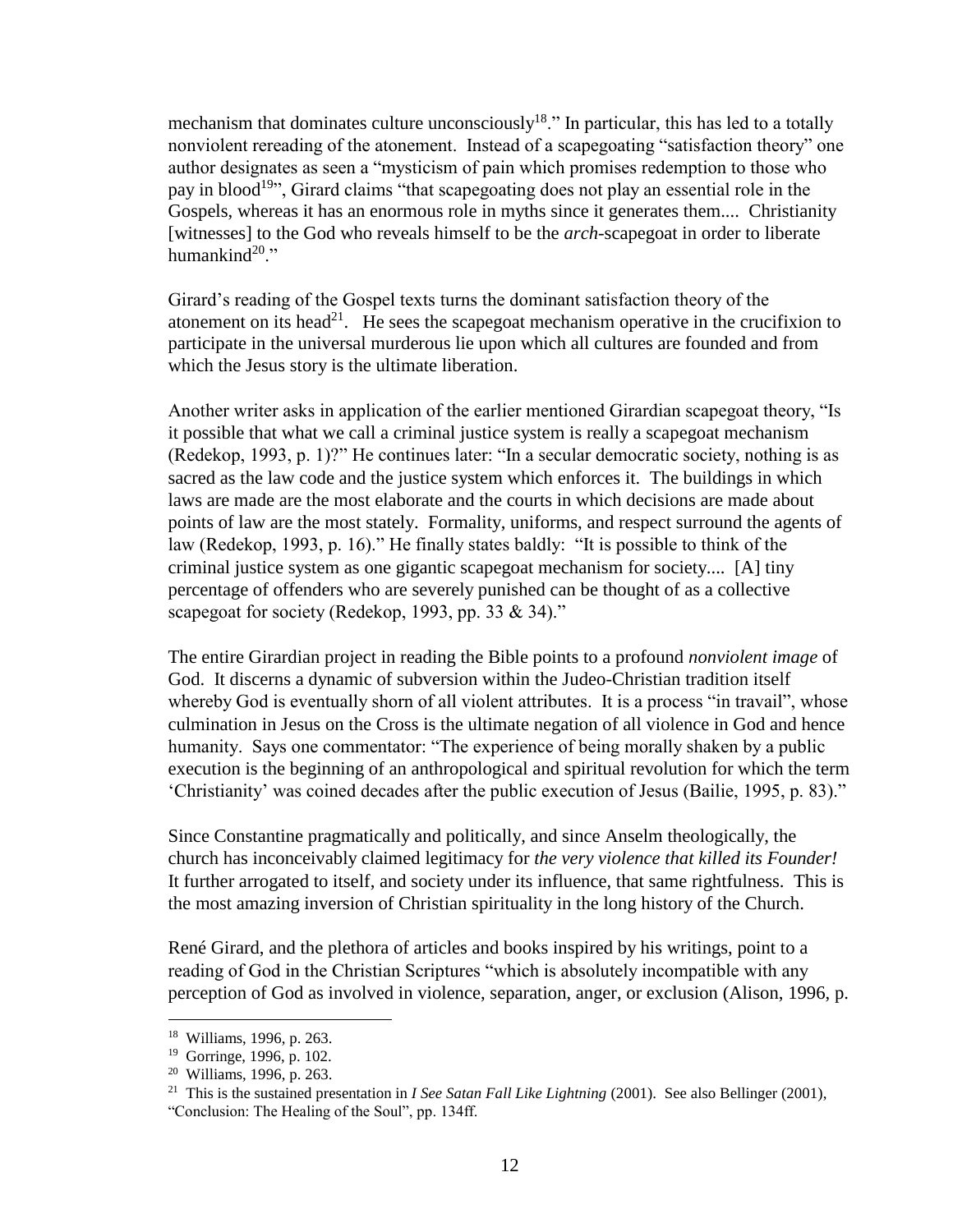mechanism that dominates culture unconsciously<sup>18</sup>." In particular, this has led to a totally nonviolent rereading of the atonement. Instead of a scapegoating "satisfaction theory" one author designates as seen a "mysticism of pain which promises redemption to those who pay in blood<sup>19</sup>, Girard claims "that scapegoating does not play an essential role in the Gospels, whereas it has an enormous role in myths since it generates them.... Christianity [witnesses] to the God who reveals himself to be the *arch*-scapegoat in order to liberate humankind $20$ ."

Girard's reading of the Gospel texts turns the dominant satisfaction theory of the atonement on its head<sup>21</sup>. He sees the scapegoat mechanism operative in the crucifixion to participate in the universal murderous lie upon which all cultures are founded and from which the Jesus story is the ultimate liberation.

Another writer asks in application of the earlier mentioned Girardian scapegoat theory, "Is it possible that what we call a criminal justice system is really a scapegoat mechanism (Redekop, 1993, p. 1)?" He continues later: "In a secular democratic society, nothing is as sacred as the law code and the justice system which enforces it. The buildings in which laws are made are the most elaborate and the courts in which decisions are made about points of law are the most stately. Formality, uniforms, and respect surround the agents of law (Redekop, 1993, p. 16)." He finally states baldly: "It is possible to think of the criminal justice system as one gigantic scapegoat mechanism for society.... [A] tiny percentage of offenders who are severely punished can be thought of as a collective scapegoat for society (Redekop, 1993, pp. 33 & 34)."

The entire Girardian project in reading the Bible points to a profound *nonviolent image* of God. It discerns a dynamic of subversion within the Judeo-Christian tradition itself whereby God is eventually shorn of all violent attributes. It is a process "in travail", whose culmination in Jesus on the Cross is the ultimate negation of all violence in God and hence humanity. Says one commentator: "The experience of being morally shaken by a public execution is the beginning of an anthropological and spiritual revolution for which the term 'Christianity' was coined decades after the public execution of Jesus (Bailie, 1995, p. 83)."

Since Constantine pragmatically and politically, and since Anselm theologically, the church has inconceivably claimed legitimacy for *the very violence that killed its Founder!* It further arrogated to itself, and society under its influence, that same rightfulness. This is the most amazing inversion of Christian spirituality in the long history of the Church.

René Girard, and the plethora of articles and books inspired by his writings, point to a reading of God in the Christian Scriptures "which is absolutely incompatible with any perception of God as involved in violence, separation, anger, or exclusion (Alison, 1996, p.

<u>.</u>

<sup>18</sup> Williams, 1996, p. 263.

<sup>19</sup> Gorringe, 1996, p. 102.

<sup>20</sup> Williams, 1996, p. 263.

<sup>&</sup>lt;sup>21</sup> This is the sustained presentation in *I See Satan Fall Like Lightning* (2001). See also Bellinger (2001), "Conclusion: The Healing of the Soul", pp. 134ff.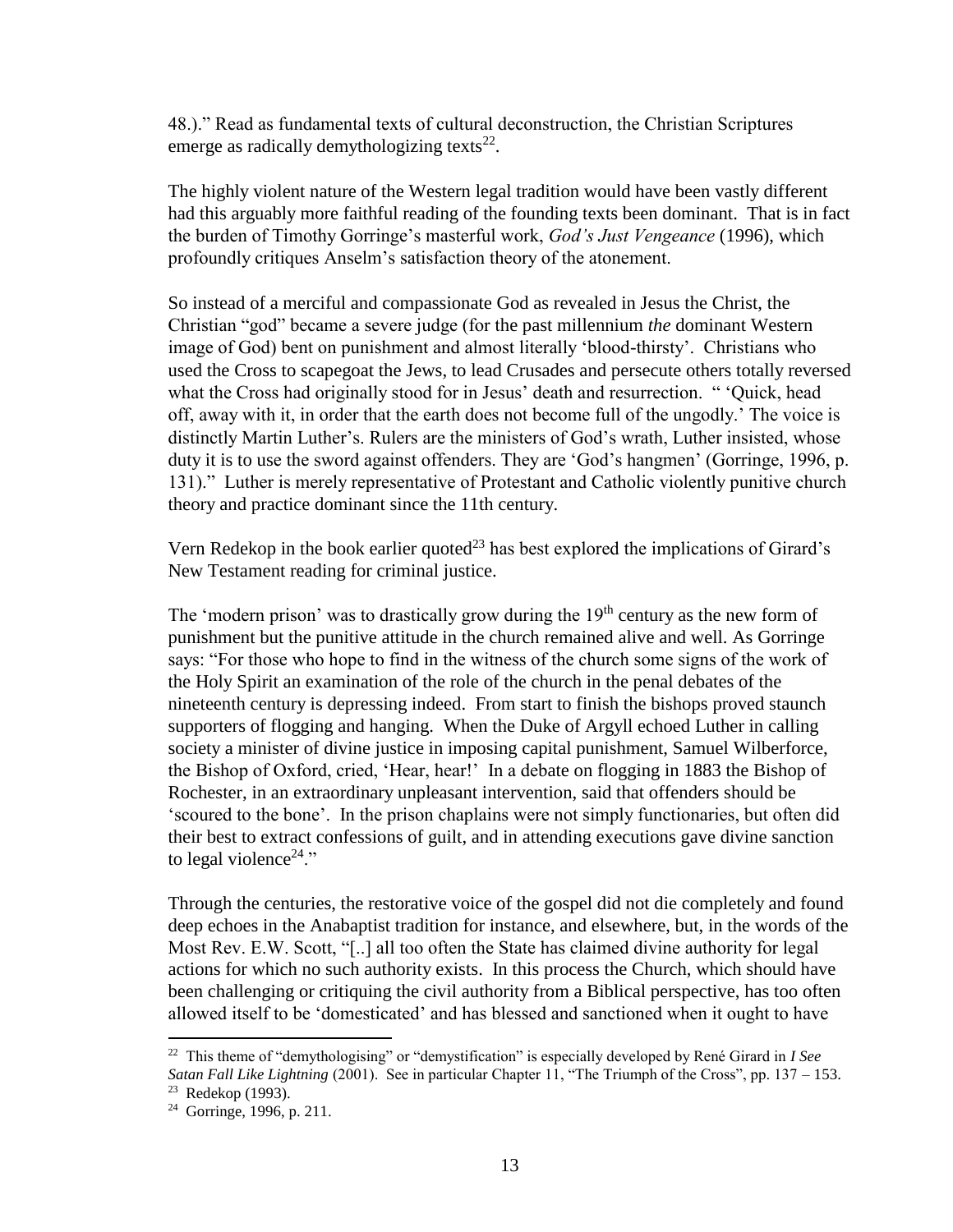48.)." Read as fundamental texts of cultural deconstruction, the Christian Scriptures emerge as radically demythologizing texts<sup>22</sup>.

The highly violent nature of the Western legal tradition would have been vastly different had this arguably more faithful reading of the founding texts been dominant. That is in fact the burden of Timothy Gorringe's masterful work, *God's Just Vengeance* (1996), which profoundly critiques Anselm's satisfaction theory of the atonement.

So instead of a merciful and compassionate God as revealed in Jesus the Christ, the Christian "god" became a severe judge (for the past millennium *the* dominant Western image of God) bent on punishment and almost literally 'blood-thirsty'. Christians who used the Cross to scapegoat the Jews, to lead Crusades and persecute others totally reversed what the Cross had originally stood for in Jesus' death and resurrection. " 'Quick, head off, away with it, in order that the earth does not become full of the ungodly.' The voice is distinctly Martin Luther's. Rulers are the ministers of God's wrath, Luther insisted, whose duty it is to use the sword against offenders. They are 'God's hangmen' (Gorringe, 1996, p. 131)." Luther is merely representative of Protestant and Catholic violently punitive church theory and practice dominant since the 11th century.

Vern Redekop in the book earlier quoted<sup>23</sup> has best explored the implications of Girard's New Testament reading for criminal justice.

The 'modern prison' was to drastically grow during the  $19<sup>th</sup>$  century as the new form of punishment but the punitive attitude in the church remained alive and well. As Gorringe says: "For those who hope to find in the witness of the church some signs of the work of the Holy Spirit an examination of the role of the church in the penal debates of the nineteenth century is depressing indeed. From start to finish the bishops proved staunch supporters of flogging and hanging. When the Duke of Argyll echoed Luther in calling society a minister of divine justice in imposing capital punishment, Samuel Wilberforce, the Bishop of Oxford, cried, 'Hear, hear!' In a debate on flogging in 1883 the Bishop of Rochester, in an extraordinary unpleasant intervention, said that offenders should be 'scoured to the bone'. In the prison chaplains were not simply functionaries, but often did their best to extract confessions of guilt, and in attending executions gave divine sanction to legal violence<sup>24</sup>."

Through the centuries, the restorative voice of the gospel did not die completely and found deep echoes in the Anabaptist tradition for instance, and elsewhere, but, in the words of the Most Rev. E.W. Scott, "[..] all too often the State has claimed divine authority for legal actions for which no such authority exists. In this process the Church, which should have been challenging or critiquing the civil authority from a Biblical perspective, has too often allowed itself to be 'domesticated' and has blessed and sanctioned when it ought to have

 22 This theme of "demythologising" or "demystification" is especially developed by René Girard in *I See Satan Fall Like Lightning* (2001). See in particular Chapter 11, "The Triumph of the Cross", pp. 137 – 153.

<sup>23</sup> Redekop (1993).

<sup>24</sup> Gorringe, 1996, p. 211.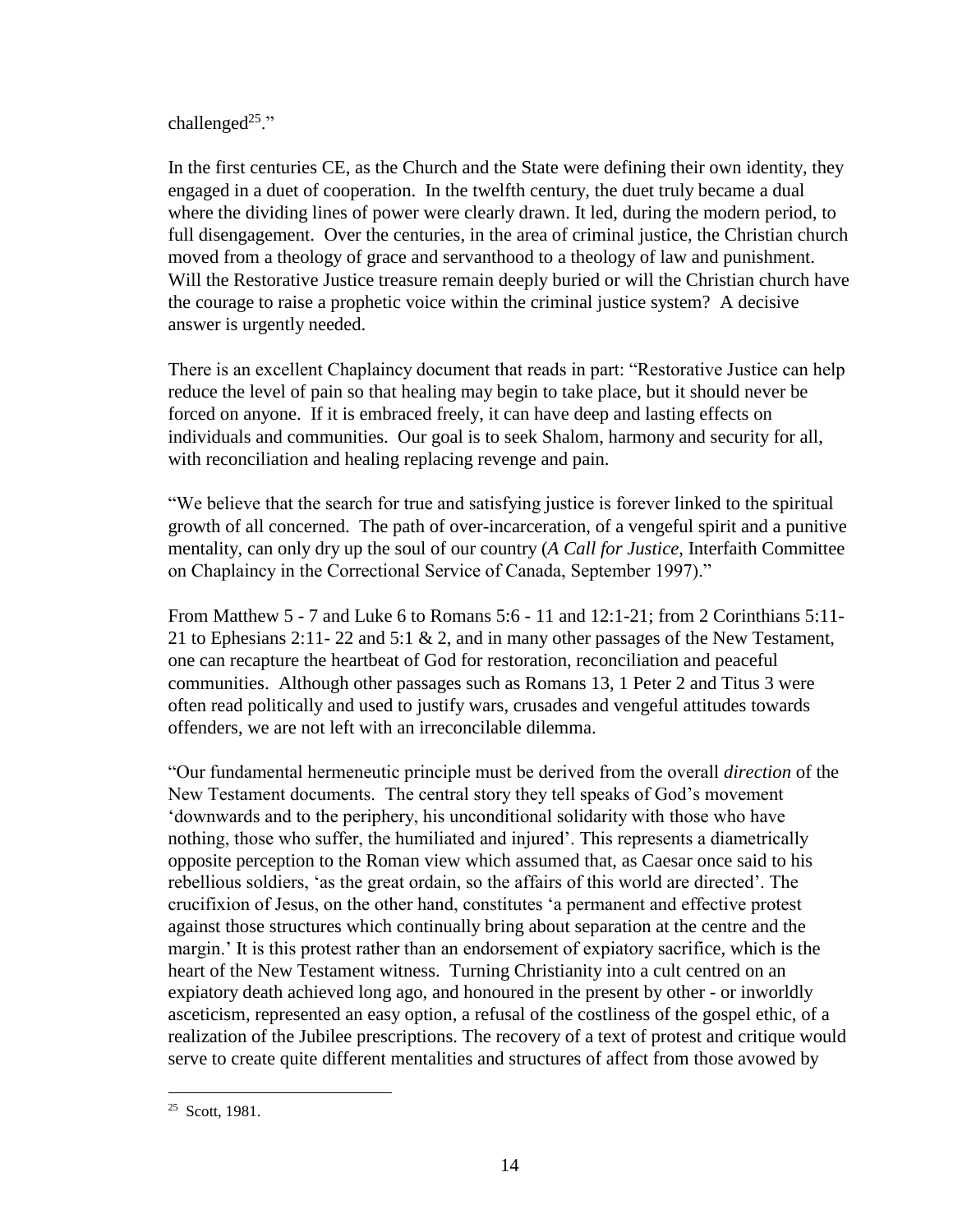challenged<sup>25</sup>."

In the first centuries CE, as the Church and the State were defining their own identity, they engaged in a duet of cooperation. In the twelfth century, the duet truly became a dual where the dividing lines of power were clearly drawn. It led, during the modern period, to full disengagement. Over the centuries, in the area of criminal justice, the Christian church moved from a theology of grace and servanthood to a theology of law and punishment. Will the Restorative Justice treasure remain deeply buried or will the Christian church have the courage to raise a prophetic voice within the criminal justice system? A decisive answer is urgently needed.

There is an excellent Chaplaincy document that reads in part: "Restorative Justice can help reduce the level of pain so that healing may begin to take place, but it should never be forced on anyone. If it is embraced freely, it can have deep and lasting effects on individuals and communities. Our goal is to seek Shalom, harmony and security for all, with reconciliation and healing replacing revenge and pain.

"We believe that the search for true and satisfying justice is forever linked to the spiritual growth of all concerned. The path of over-incarceration, of a vengeful spirit and a punitive mentality, can only dry up the soul of our country (*A Call for Justice*, Interfaith Committee on Chaplaincy in the Correctional Service of Canada, September 1997)."

From Matthew 5 - 7 and Luke 6 to Romans 5:6 - 11 and 12:1-21; from 2 Corinthians 5:11- 21 to Ephesians 2:11- 22 and 5:1 & 2, and in many other passages of the New Testament, one can recapture the heartbeat of God for restoration, reconciliation and peaceful communities. Although other passages such as Romans 13, 1 Peter 2 and Titus 3 were often read politically and used to justify wars, crusades and vengeful attitudes towards offenders, we are not left with an irreconcilable dilemma.

"Our fundamental hermeneutic principle must be derived from the overall *direction* of the New Testament documents. The central story they tell speaks of God's movement 'downwards and to the periphery, his unconditional solidarity with those who have nothing, those who suffer, the humiliated and injured'. This represents a diametrically opposite perception to the Roman view which assumed that, as Caesar once said to his rebellious soldiers, 'as the great ordain, so the affairs of this world are directed'. The crucifixion of Jesus, on the other hand, constitutes 'a permanent and effective protest against those structures which continually bring about separation at the centre and the margin.' It is this protest rather than an endorsement of expiatory sacrifice, which is the heart of the New Testament witness. Turning Christianity into a cult centred on an expiatory death achieved long ago, and honoured in the present by other - or inworldly asceticism, represented an easy option, a refusal of the costliness of the gospel ethic, of a realization of the Jubilee prescriptions. The recovery of a text of protest and critique would serve to create quite different mentalities and structures of affect from those avowed by

<sup>25</sup> Scott, 1981.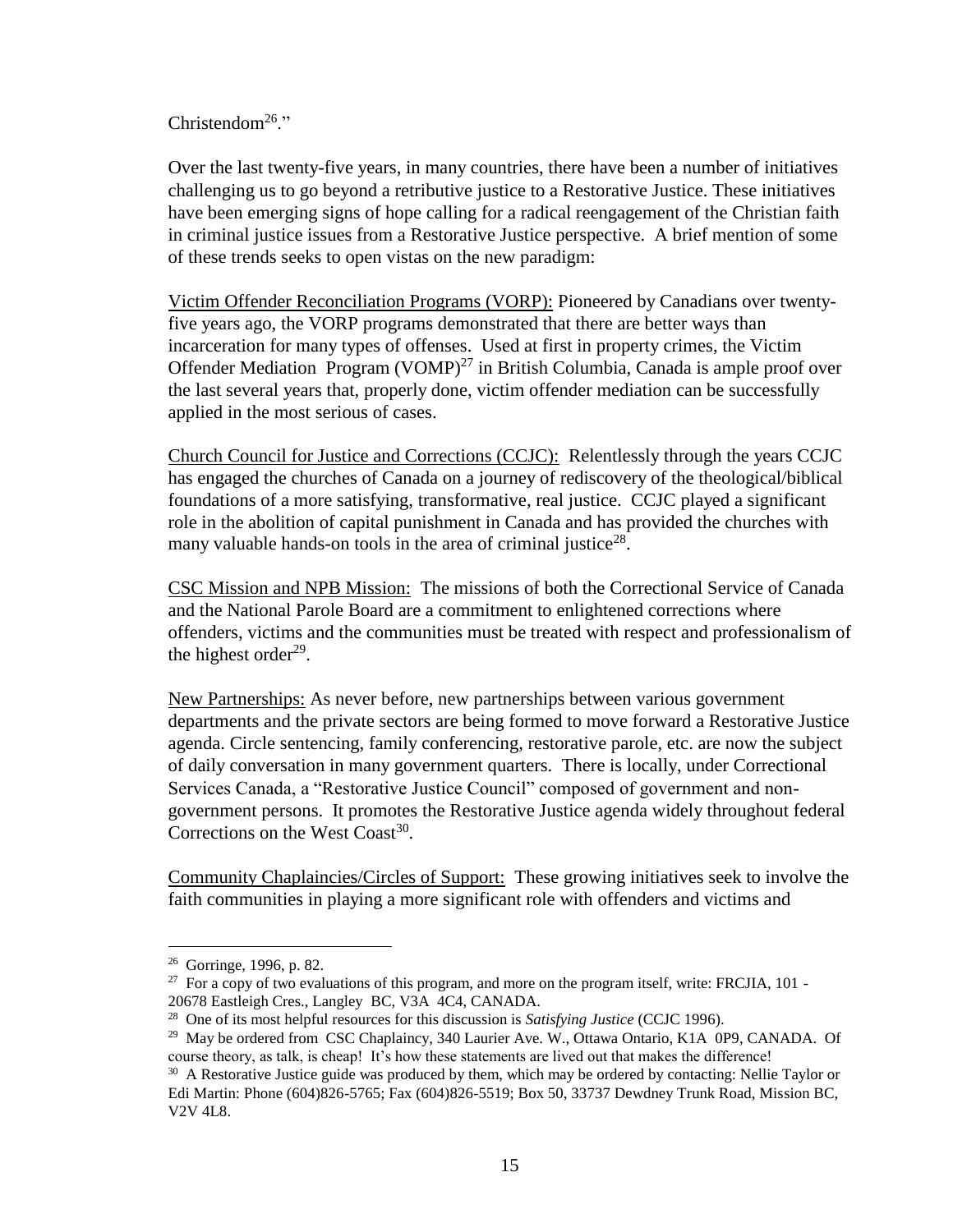### Christendom<sup>26</sup>."

Over the last twenty-five years, in many countries, there have been a number of initiatives challenging us to go beyond a retributive justice to a Restorative Justice. These initiatives have been emerging signs of hope calling for a radical reengagement of the Christian faith in criminal justice issues from a Restorative Justice perspective. A brief mention of some of these trends seeks to open vistas on the new paradigm:

Victim Offender Reconciliation Programs (VORP): Pioneered by Canadians over twentyfive years ago, the VORP programs demonstrated that there are better ways than incarceration for many types of offenses. Used at first in property crimes, the Victim Offender Mediation Program (VOMP)<sup>27</sup> in British Columbia, Canada is ample proof over the last several years that, properly done, victim offender mediation can be successfully applied in the most serious of cases.

Church Council for Justice and Corrections (CCJC): Relentlessly through the years CCJC has engaged the churches of Canada on a journey of rediscovery of the theological/biblical foundations of a more satisfying, transformative, real justice. CCJC played a significant role in the abolition of capital punishment in Canada and has provided the churches with many valuable hands-on tools in the area of criminal justice<sup>28</sup>.

CSC Mission and NPB Mission: The missions of both the Correctional Service of Canada and the National Parole Board are a commitment to enlightened corrections where offenders, victims and the communities must be treated with respect and professionalism of the highest order $29$ .

New Partnerships: As never before, new partnerships between various government departments and the private sectors are being formed to move forward a Restorative Justice agenda. Circle sentencing, family conferencing, restorative parole, etc. are now the subject of daily conversation in many government quarters. There is locally, under Correctional Services Canada, a "Restorative Justice Council" composed of government and nongovernment persons. It promotes the Restorative Justice agenda widely throughout federal Corrections on the West Coast<sup>30</sup>.

Community Chaplaincies/Circles of Support: These growing initiatives seek to involve the faith communities in playing a more significant role with offenders and victims and

<sup>26</sup> Gorringe, 1996, p. 82.

<sup>&</sup>lt;sup>27</sup> For a copy of two evaluations of this program, and more on the program itself, write: FRCJIA,  $101$  -20678 Eastleigh Cres., Langley BC, V3A 4C4, CANADA.

<sup>28</sup> One of its most helpful resources for this discussion is *Satisfying Justice* (CCJC 1996).

<sup>&</sup>lt;sup>29</sup> May be ordered from CSC Chaplaincy, 340 Laurier Ave. W., Ottawa Ontario, K1A 0P9, CANADA. Of course theory, as talk, is cheap! It's how these statements are lived out that makes the difference!

<sup>&</sup>lt;sup>30</sup> A Restorative Justice guide was produced by them, which may be ordered by contacting: Nellie Taylor or Edi Martin: Phone (604)826-5765; Fax (604)826-5519; Box 50, 33737 Dewdney Trunk Road, Mission BC, V2V 4L8.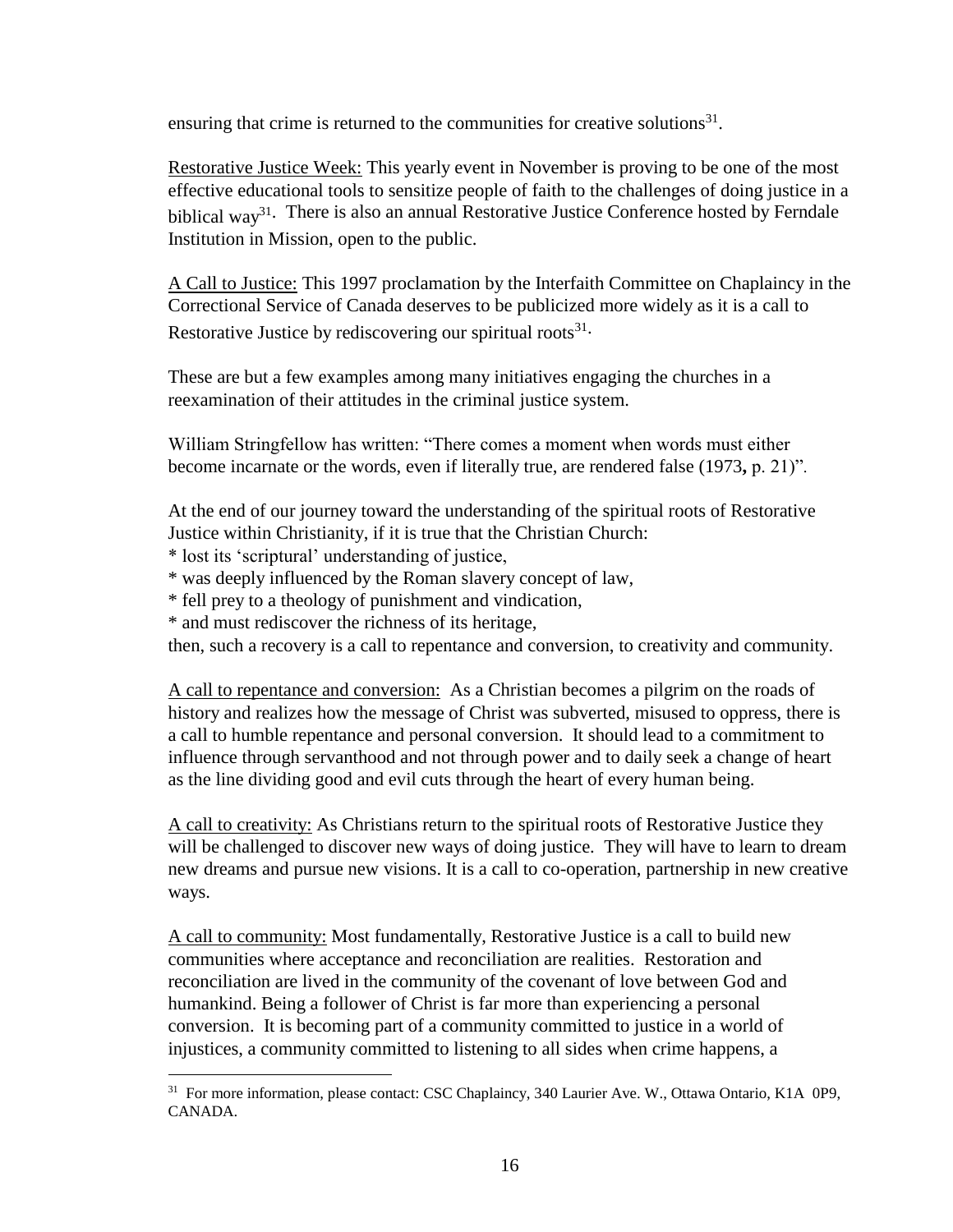ensuring that crime is returned to the communities for creative solutions $31$ .

Restorative Justice Week: This yearly event in November is proving to be one of the most effective educational tools to sensitize people of faith to the challenges of doing justice in a biblical way<sup>31</sup>. There is also an annual Restorative Justice Conference hosted by Ferndale Institution in Mission, open to the public.

A Call to Justice: This 1997 proclamation by the Interfaith Committee on Chaplaincy in the Correctional Service of Canada deserves to be publicized more widely as it is a call to Restorative Justice by rediscovering our spiritual roots<sup>31</sup>.

These are but a few examples among many initiatives engaging the churches in a reexamination of their attitudes in the criminal justice system.

William Stringfellow has written: "There comes a moment when words must either become incarnate or the words, even if literally true, are rendered false (1973**,** p. 21)".

At the end of our journey toward the understanding of the spiritual roots of Restorative Justice within Christianity, if it is true that the Christian Church:

\* lost its 'scriptural' understanding of justice,

<u>.</u>

\* was deeply influenced by the Roman slavery concept of law,

\* fell prey to a theology of punishment and vindication,

\* and must rediscover the richness of its heritage,

then, such a recovery is a call to repentance and conversion, to creativity and community.

A call to repentance and conversion: As a Christian becomes a pilgrim on the roads of history and realizes how the message of Christ was subverted, misused to oppress, there is a call to humble repentance and personal conversion. It should lead to a commitment to influence through servanthood and not through power and to daily seek a change of heart as the line dividing good and evil cuts through the heart of every human being.

A call to creativity: As Christians return to the spiritual roots of Restorative Justice they will be challenged to discover new ways of doing justice. They will have to learn to dream new dreams and pursue new visions. It is a call to co-operation, partnership in new creative ways.

A call to community: Most fundamentally, Restorative Justice is a call to build new communities where acceptance and reconciliation are realities. Restoration and reconciliation are lived in the community of the covenant of love between God and humankind. Being a follower of Christ is far more than experiencing a personal conversion. It is becoming part of a community committed to justice in a world of injustices, a community committed to listening to all sides when crime happens, a

<sup>&</sup>lt;sup>31</sup> For more information, please contact: CSC Chaplaincy, 340 Laurier Ave. W., Ottawa Ontario, K1A 0P9, CANADA.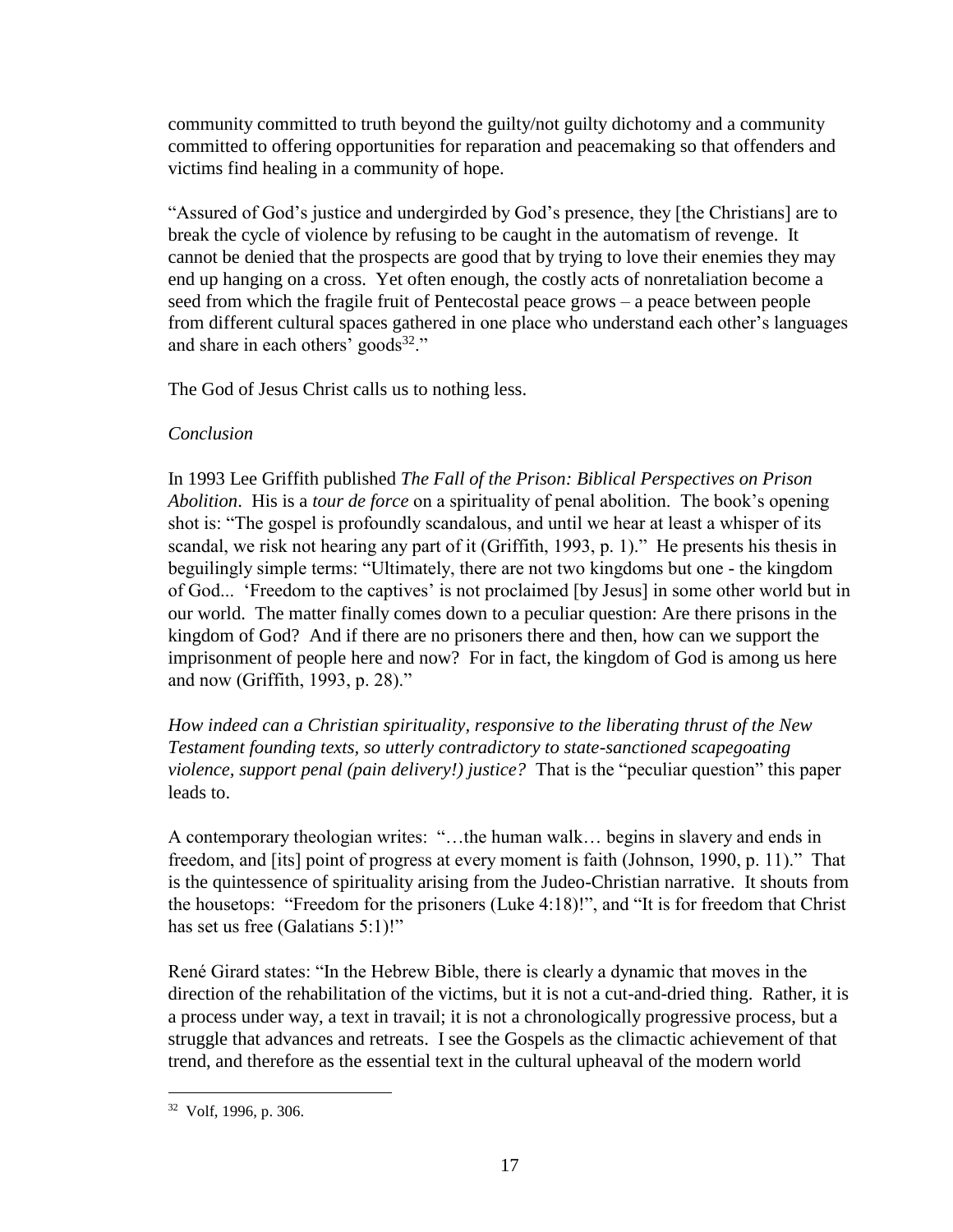community committed to truth beyond the guilty/not guilty dichotomy and a community committed to offering opportunities for reparation and peacemaking so that offenders and victims find healing in a community of hope.

"Assured of God's justice and undergirded by God's presence, they [the Christians] are to break the cycle of violence by refusing to be caught in the automatism of revenge. It cannot be denied that the prospects are good that by trying to love their enemies they may end up hanging on a cross. Yet often enough, the costly acts of nonretaliation become a seed from which the fragile fruit of Pentecostal peace grows – a peace between people from different cultural spaces gathered in one place who understand each other's languages and share in each others' goods $32$ ."

The God of Jesus Christ calls us to nothing less.

## *Conclusion*

In 1993 Lee Griffith published *The Fall of the Prison: Biblical Perspectives on Prison Abolition*. His is a *tour de force* on a spirituality of penal abolition. The book's opening shot is: "The gospel is profoundly scandalous, and until we hear at least a whisper of its scandal, we risk not hearing any part of it (Griffith, 1993, p. 1)." He presents his thesis in beguilingly simple terms: "Ultimately, there are not two kingdoms but one - the kingdom of God... 'Freedom to the captives' is not proclaimed [by Jesus] in some other world but in our world. The matter finally comes down to a peculiar question: Are there prisons in the kingdom of God? And if there are no prisoners there and then, how can we support the imprisonment of people here and now? For in fact, the kingdom of God is among us here and now (Griffith, 1993, p. 28)."

*How indeed can a Christian spirituality, responsive to the liberating thrust of the New Testament founding texts, so utterly contradictory to state-sanctioned scapegoating violence, support penal (pain delivery!) justice?* That is the "peculiar question" this paper leads to.

A contemporary theologian writes: "…the human walk… begins in slavery and ends in freedom, and [its] point of progress at every moment is faith (Johnson, 1990, p. 11)." That is the quintessence of spirituality arising from the Judeo-Christian narrative. It shouts from the housetops: "Freedom for the prisoners (Luke 4:18)!", and "It is for freedom that Christ has set us free (Galatians 5:1)!"

René Girard states: "In the Hebrew Bible, there is clearly a dynamic that moves in the direction of the rehabilitation of the victims, but it is not a cut-and-dried thing. Rather, it is a process under way, a text in travail; it is not a chronologically progressive process, but a struggle that advances and retreats. I see the Gospels as the climactic achievement of that trend, and therefore as the essential text in the cultural upheaval of the modern world

<sup>32</sup> Volf, 1996, p. 306.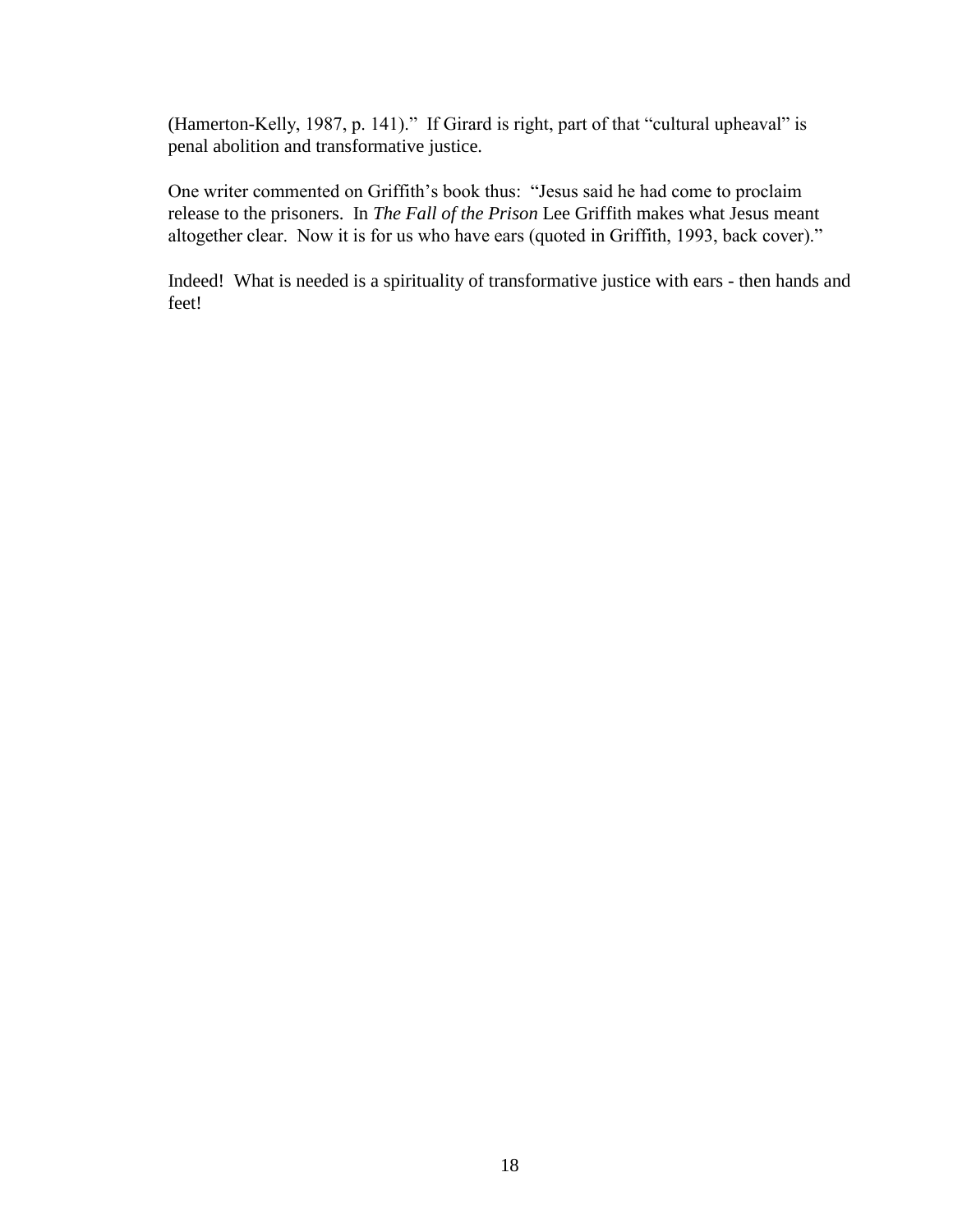(Hamerton-Kelly, 1987, p. 141)." If Girard is right, part of that "cultural upheaval" is penal abolition and transformative justice.

One writer commented on Griffith's book thus: "Jesus said he had come to proclaim release to the prisoners. In *The Fall of the Prison* Lee Griffith makes what Jesus meant altogether clear. Now it is for us who have ears (quoted in Griffith, 1993, back cover)."

Indeed! What is needed is a spirituality of transformative justice with ears - then hands and feet!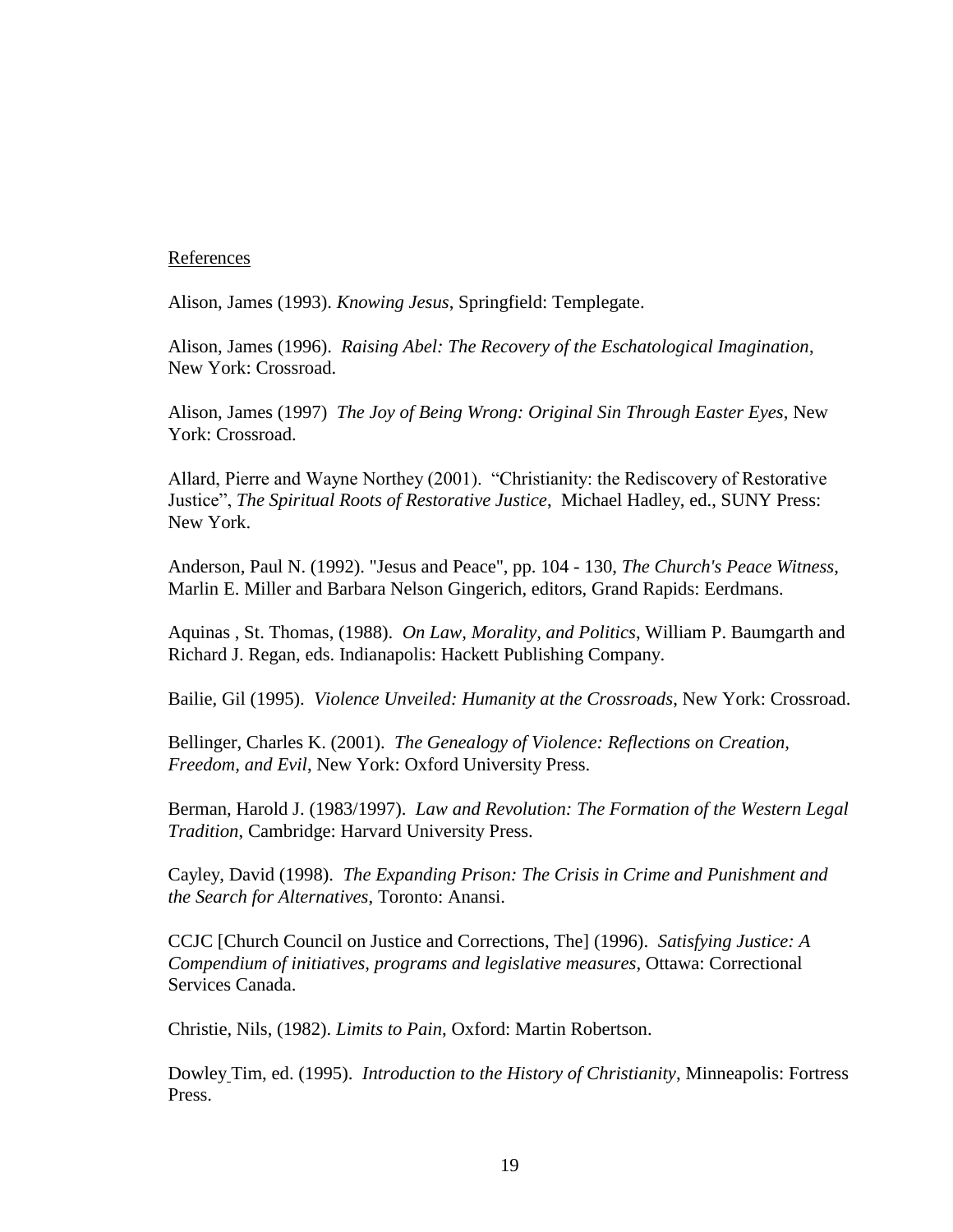#### References

Alison, James (1993). *Knowing Jesus*, Springfield: Templegate.

Alison, James (1996). *Raising Abel: The Recovery of the Eschatological Imagination*, New York: Crossroad.

Alison, James (1997) *The Joy of Being Wrong: Original Sin Through Easter Eyes*, New York: Crossroad.

Allard, Pierre and Wayne Northey (2001). "Christianity: the Rediscovery of Restorative Justice", *The Spiritual Roots of Restorative Justice*, Michael Hadley, ed., SUNY Press: New York.

Anderson, Paul N. (1992). "Jesus and Peace", pp. 104 - 130, *The Church's Peace Witness*, Marlin E. Miller and Barbara Nelson Gingerich, editors, Grand Rapids: Eerdmans.

Aquinas , St. Thomas, (1988). *On Law, Morality, and Politics*, William P. Baumgarth and Richard J. Regan, eds. Indianapolis: Hackett Publishing Company.

Bailie, Gil (1995). *Violence Unveiled: Humanity at the Crossroads*, New York: Crossroad.

Bellinger, Charles K. (2001). *The Genealogy of Violence: Reflections on Creation, Freedom, and Evil*, New York: Oxford University Press.

Berman, Harold J. (1983/1997). *Law and Revolution: The Formation of the Western Legal Tradition*, Cambridge: Harvard University Press.

Cayley, David (1998). *The Expanding Prison: The Crisis in Crime and Punishment and the Search for Alternatives*, Toronto: Anansi.

CCJC [Church Council on Justice and Corrections, The] (1996). *Satisfying Justice: A Compendium of initiatives, programs and legislative measures*, Ottawa: Correctional Services Canada.

Christie, Nils, (1982). *Limits to Pain*, Oxford: Martin Robertson.

Dowley Tim, ed. (1995). *Introduction to the History of Christianity*, Minneapolis: Fortress Press.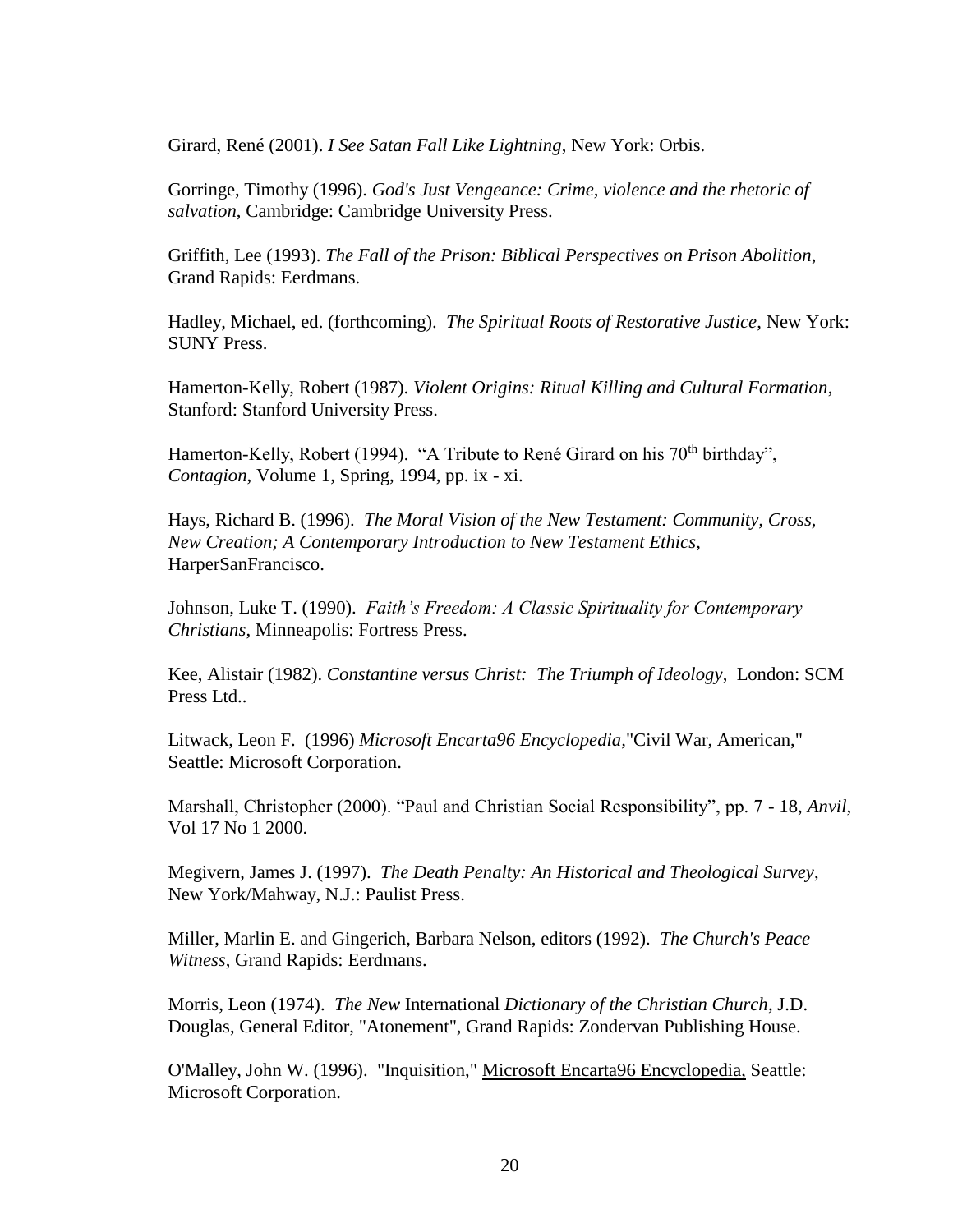Girard, René (2001). *I See Satan Fall Like Lightning*, New York: Orbis.

Gorringe, Timothy (1996). *God's Just Vengeance: Crime, violence and the rhetoric of salvation*, Cambridge: Cambridge University Press.

Griffith, Lee (1993). *The Fall of the Prison: Biblical Perspectives on Prison Abolition*, Grand Rapids: Eerdmans.

Hadley, Michael, ed. (forthcoming). *The Spiritual Roots of Restorative Justice*, New York: SUNY Press.

Hamerton-Kelly, Robert (1987). *Violent Origins: Ritual Killing and Cultural Formation*, Stanford: Stanford University Press.

Hamerton-Kelly, Robert (1994). "A Tribute to René Girard on his 70<sup>th</sup> birthday", *Contagion*, Volume 1, Spring, 1994, pp. ix - xi.

Hays, Richard B. (1996). *The Moral Vision of the New Testament: Community, Cross, New Creation; A Contemporary Introduction to New Testament Ethics*, HarperSanFrancisco.

Johnson, Luke T. (1990). *Faith's Freedom: A Classic Spirituality for Contemporary Christians*, Minneapolis: Fortress Press.

Kee, Alistair (1982). *Constantine versus Christ: The Triumph of Ideology*, London: SCM Press Ltd..

Litwack, Leon F. (1996) *Microsoft Encarta96 Encyclopedia,*"Civil War, American," Seattle: Microsoft Corporation.

Marshall, Christopher (2000). "Paul and Christian Social Responsibility", pp. 7 - 18, *Anvil*, Vol 17 No 1 2000.

Megivern, James J. (1997). *The Death Penalty: An Historical and Theological Survey*, New York/Mahway, N.J.: Paulist Press.

Miller, Marlin E. and Gingerich, Barbara Nelson, editors (1992). *The Church's Peace Witness*, Grand Rapids: Eerdmans.

Morris, Leon (1974). *The New* International *Dictionary of the Christian Church*, J.D. Douglas, General Editor, "Atonement", Grand Rapids: Zondervan Publishing House.

O'Malley, John W. (1996). "Inquisition," Microsoft Encarta96 Encyclopedia, Seattle: Microsoft Corporation.